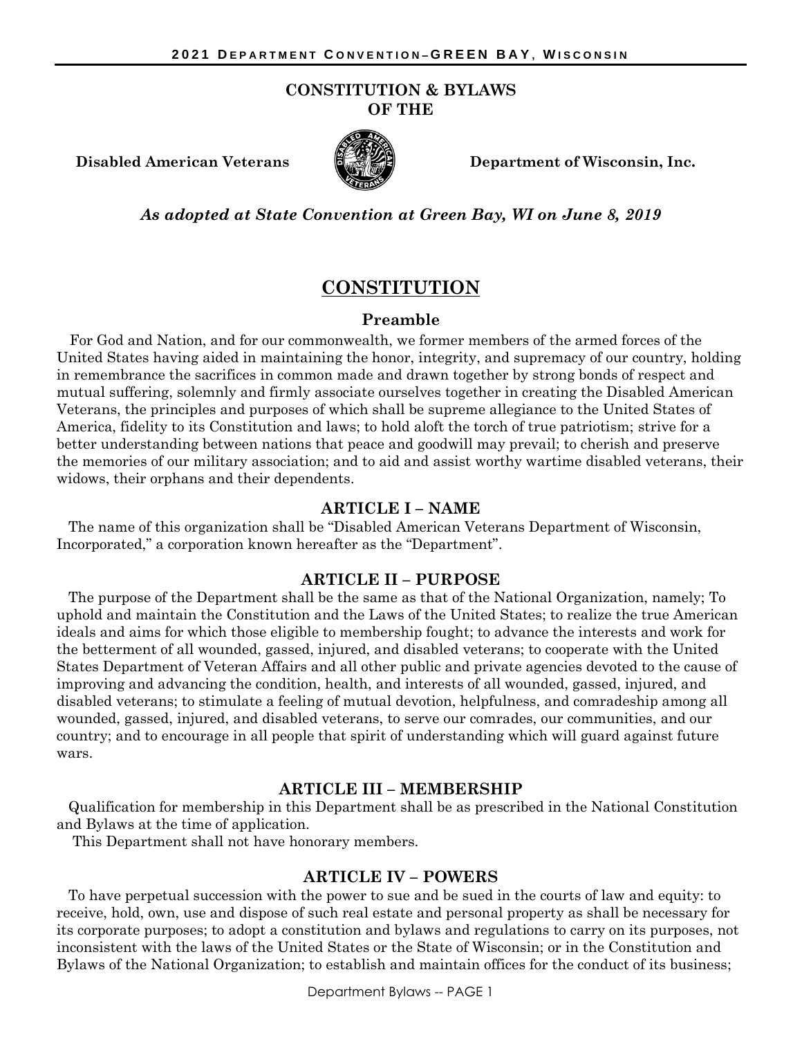#### **CONSTITUTION & BYLAWS OF THE**



**Disabled American Veterans Department of Wisconsin, Inc.**

*As adopted at State Convention at Green Bay, WI on June 8, 2019*

# **CONSTITUTION**

### **Preamble**

For God and Nation, and for our commonwealth, we former members of the armed forces of the United States having aided in maintaining the honor, integrity, and supremacy of our country, holding in remembrance the sacrifices in common made and drawn together by strong bonds of respect and mutual suffering, solemnly and firmly associate ourselves together in creating the Disabled American Veterans, the principles and purposes of which shall be supreme allegiance to the United States of America, fidelity to its Constitution and laws; to hold aloft the torch of true patriotism; strive for a better understanding between nations that peace and goodwill may prevail; to cherish and preserve the memories of our military association; and to aid and assist worthy wartime disabled veterans, their widows, their orphans and their dependents.

#### **ARTICLE I – NAME**

The name of this organization shall be "Disabled American Veterans Department of Wisconsin, Incorporated," a corporation known hereafter as the "Department".

#### **ARTICLE II – PURPOSE**

The purpose of the Department shall be the same as that of the National Organization, namely; To uphold and maintain the Constitution and the Laws of the United States; to realize the true American ideals and aims for which those eligible to membership fought; to advance the interests and work for the betterment of all wounded, gassed, injured, and disabled veterans; to cooperate with the United States Department of Veteran Affairs and all other public and private agencies devoted to the cause of improving and advancing the condition, health, and interests of all wounded, gassed, injured, and disabled veterans; to stimulate a feeling of mutual devotion, helpfulness, and comradeship among all wounded, gassed, injured, and disabled veterans, to serve our comrades, our communities, and our country; and to encourage in all people that spirit of understanding which will guard against future wars.

#### **ARTICLE III – MEMBERSHIP**

Qualification for membership in this Department shall be as prescribed in the National Constitution and Bylaws at the time of application.

This Department shall not have honorary members.

#### **ARTICLE IV – POWERS**

To have perpetual succession with the power to sue and be sued in the courts of law and equity: to receive, hold, own, use and dispose of such real estate and personal property as shall be necessary for its corporate purposes; to adopt a constitution and bylaws and regulations to carry on its purposes, not inconsistent with the laws of the United States or the State of Wisconsin; or in the Constitution and Bylaws of the National Organization; to establish and maintain offices for the conduct of its business;

Department Bylaws -- PAGE 1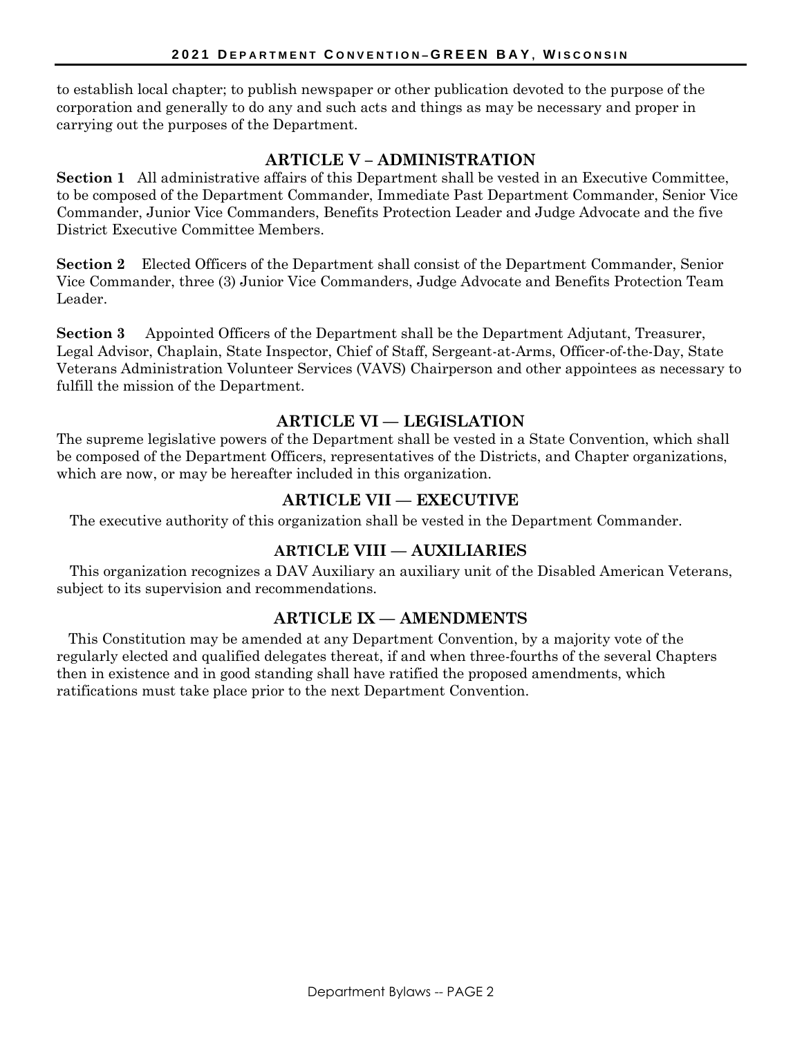to establish local chapter; to publish newspaper or other publication devoted to the purpose of the corporation and generally to do any and such acts and things as may be necessary and proper in carrying out the purposes of the Department.

# **ARTICLE V – ADMINISTRATION**

**Section 1** All administrative affairs of this Department shall be vested in an Executive Committee, to be composed of the Department Commander, Immediate Past Department Commander, Senior Vice Commander, Junior Vice Commanders, Benefits Protection Leader and Judge Advocate and the five District Executive Committee Members.

**Section 2** Elected Officers of the Department shall consist of the Department Commander, Senior Vice Commander, three (3) Junior Vice Commanders, Judge Advocate and Benefits Protection Team Leader.

**Section 3** Appointed Officers of the Department shall be the Department Adjutant, Treasurer, Legal Advisor, Chaplain, State Inspector, Chief of Staff, Sergeant-at-Arms, Officer-of-the-Day, State Veterans Administration Volunteer Services (VAVS) Chairperson and other appointees as necessary to fulfill the mission of the Department.

# **ARTICLE VI — LEGISLATION**

The supreme legislative powers of the Department shall be vested in a State Convention, which shall be composed of the Department Officers, representatives of the Districts, and Chapter organizations, which are now, or may be hereafter included in this organization.

# **ARTICLE VII — EXECUTIVE**

The executive authority of this organization shall be vested in the Department Commander.

# **ARTICLE VIII — AUXILIARIES**

This organization recognizes a DAV Auxiliary an auxiliary unit of the Disabled American Veterans, subject to its supervision and recommendations.

## **ARTICLE IX — AMENDMENTS**

This Constitution may be amended at any Department Convention, by a majority vote of the regularly elected and qualified delegates thereat, if and when three-fourths of the several Chapters then in existence and in good standing shall have ratified the proposed amendments, which ratifications must take place prior to the next Department Convention.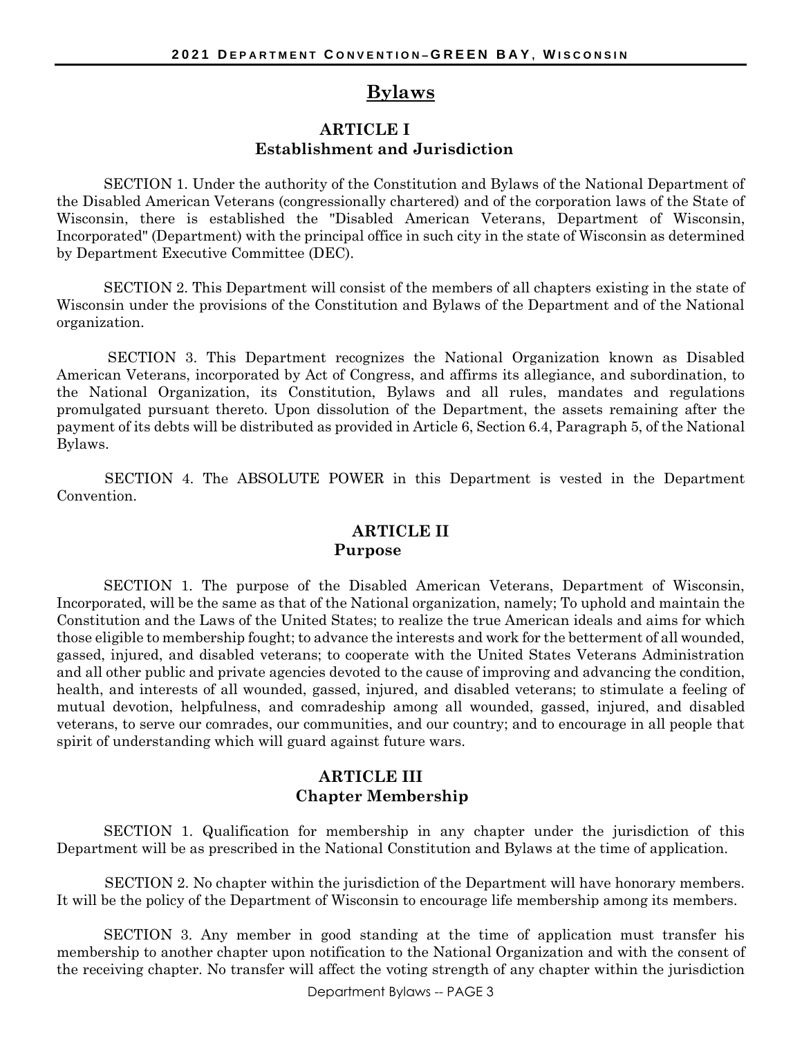# **Bylaws**

### **ARTICLE I Establishment and Jurisdiction**

SECTION 1. Under the authority of the Constitution and Bylaws of the National Department of the Disabled American Veterans (congressionally chartered) and of the corporation laws of the State of Wisconsin, there is established the "Disabled American Veterans, Department of Wisconsin, Incorporated" (Department) with the principal office in such city in the state of Wisconsin as determined by Department Executive Committee (DEC).

SECTION 2. This Department will consist of the members of all chapters existing in the state of Wisconsin under the provisions of the Constitution and Bylaws of the Department and of the National organization.

SECTION 3. This Department recognizes the National Organization known as Disabled American Veterans, incorporated by Act of Congress, and affirms its allegiance, and subordination, to the National Organization, its Constitution, Bylaws and all rules, mandates and regulations promulgated pursuant thereto. Upon dissolution of the Department, the assets remaining after the payment of its debts will be distributed as provided in Article 6, Section 6.4, Paragraph 5, of the National Bylaws.

SECTION 4. The ABSOLUTE POWER in this Department is vested in the Department Convention.

### **ARTICLE II Purpose**

SECTION 1. The purpose of the Disabled American Veterans, Department of Wisconsin, Incorporated, will be the same as that of the National organization, namely; To uphold and maintain the Constitution and the Laws of the United States; to realize the true American ideals and aims for which those eligible to membership fought; to advance the interests and work for the betterment of all wounded, gassed, injured, and disabled veterans; to cooperate with the United States Veterans Administration and all other public and private agencies devoted to the cause of improving and advancing the condition, health, and interests of all wounded, gassed, injured, and disabled veterans; to stimulate a feeling of mutual devotion, helpfulness, and comradeship among all wounded, gassed, injured, and disabled veterans, to serve our comrades, our communities, and our country; and to encourage in all people that spirit of understanding which will guard against future wars.

### **ARTICLE III Chapter Membership**

SECTION 1. Qualification for membership in any chapter under the jurisdiction of this Department will be as prescribed in the National Constitution and Bylaws at the time of application.

SECTION 2. No chapter within the jurisdiction of the Department will have honorary members. It will be the policy of the Department of Wisconsin to encourage life membership among its members.

SECTION 3. Any member in good standing at the time of application must transfer his membership to another chapter upon notification to the National Organization and with the consent of the receiving chapter. No transfer will affect the voting strength of any chapter within the jurisdiction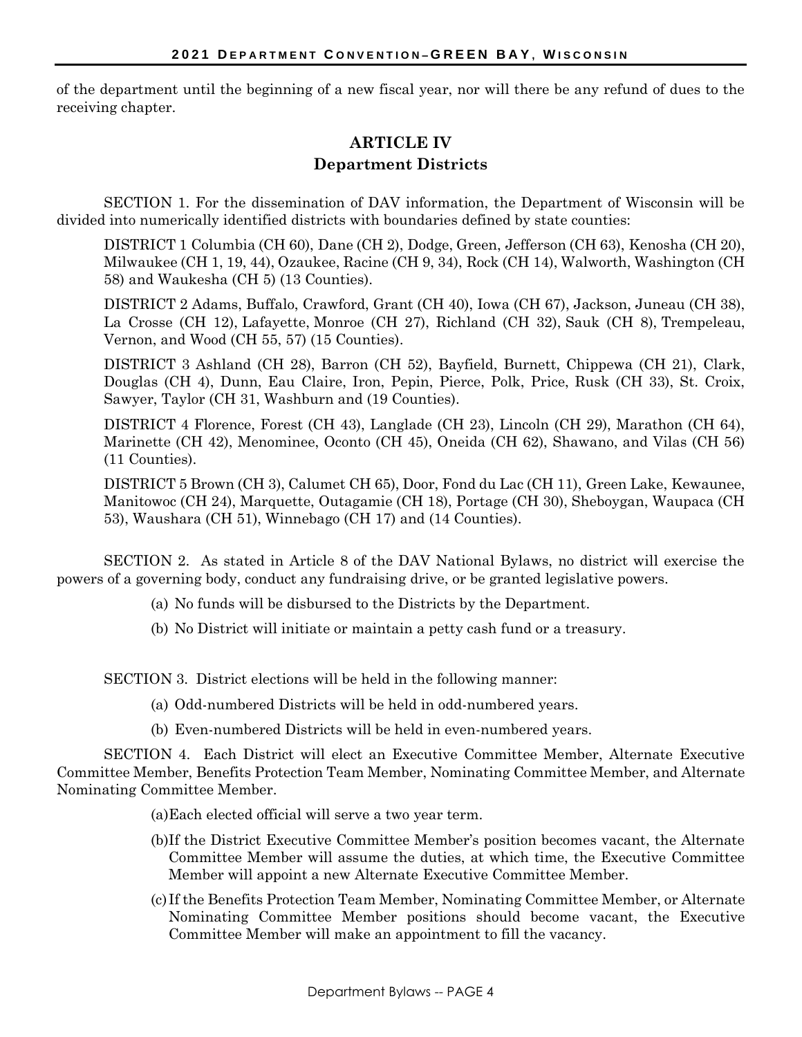of the department until the beginning of a new fiscal year, nor will there be any refund of dues to the receiving chapter.

# **ARTICLE IV Department Districts**

SECTION 1. For the dissemination of DAV information, the Department of Wisconsin will be divided into numerically identified districts with boundaries defined by state counties:

DISTRICT 1 Columbia (CH 60), Dane (CH 2), Dodge, Green, Jefferson (CH 63), Kenosha (CH 20), Milwaukee (CH 1, 19, 44), Ozaukee, Racine (CH 9, 34), Rock (CH 14), Walworth, Washington (CH 58) and Waukesha (CH 5) (13 Counties).

DISTRICT 2 Adams, Buffalo, Crawford, Grant (CH 40), Iowa (CH 67), Jackson, Juneau (CH 38), La Crosse (CH 12), Lafayette, Monroe (CH 27), Richland (CH 32), Sauk (CH 8), Trempeleau, Vernon, and Wood (CH 55, 57) (15 Counties).

DISTRICT 3 Ashland (CH 28), Barron (CH 52), Bayfield, Burnett, Chippewa (CH 21), Clark, Douglas (CH 4), Dunn, Eau Claire, Iron, Pepin, Pierce, Polk, Price, Rusk (CH 33), St. Croix, Sawyer, Taylor (CH 31, Washburn and (19 Counties).

DISTRICT 4 Florence, Forest (CH 43), Langlade (CH 23), Lincoln (CH 29), Marathon (CH 64), Marinette (CH 42), Menominee, Oconto (CH 45), Oneida (CH 62), Shawano, and Vilas (CH 56) (11 Counties).

DISTRICT 5 Brown (CH 3), Calumet CH 65), Door, Fond du Lac (CH 11), Green Lake, Kewaunee, Manitowoc (CH 24), Marquette, Outagamie (CH 18), Portage (CH 30), Sheboygan, Waupaca (CH 53), Waushara (CH 51), Winnebago (CH 17) and (14 Counties).

SECTION 2. As stated in Article 8 of the DAV National Bylaws, no district will exercise the powers of a governing body, conduct any fundraising drive, or be granted legislative powers.

- (a) No funds will be disbursed to the Districts by the Department.
- (b) No District will initiate or maintain a petty cash fund or a treasury.

SECTION 3. District elections will be held in the following manner:

- (a) Odd-numbered Districts will be held in odd-numbered years.
- (b) Even-numbered Districts will be held in even-numbered years.

SECTION 4. Each District will elect an Executive Committee Member, Alternate Executive Committee Member, Benefits Protection Team Member, Nominating Committee Member, and Alternate Nominating Committee Member.

- (a)Each elected official will serve a two year term.
- (b)If the District Executive Committee Member's position becomes vacant, the Alternate Committee Member will assume the duties, at which time, the Executive Committee Member will appoint a new Alternate Executive Committee Member.
- (c) If the Benefits Protection Team Member, Nominating Committee Member, or Alternate Nominating Committee Member positions should become vacant, the Executive Committee Member will make an appointment to fill the vacancy.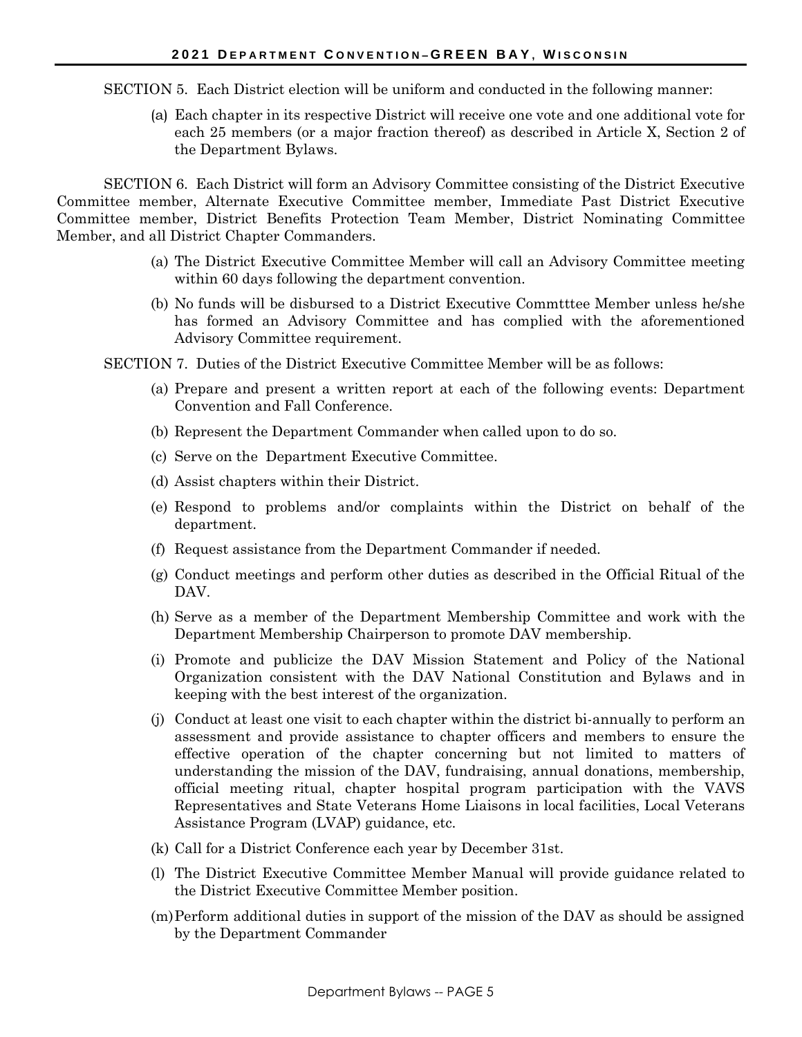SECTION 5. Each District election will be uniform and conducted in the following manner:

(a) Each chapter in its respective District will receive one vote and one additional vote for each 25 members (or a major fraction thereof) as described in Article X, Section 2 of the Department Bylaws.

SECTION 6. Each District will form an Advisory Committee consisting of the District Executive Committee member, Alternate Executive Committee member, Immediate Past District Executive Committee member, District Benefits Protection Team Member, District Nominating Committee Member, and all District Chapter Commanders.

- (a) The District Executive Committee Member will call an Advisory Committee meeting within 60 days following the department convention.
- (b) No funds will be disbursed to a District Executive Commtttee Member unless he/she has formed an Advisory Committee and has complied with the aforementioned Advisory Committee requirement.
- SECTION 7. Duties of the District Executive Committee Member will be as follows:
	- (a) Prepare and present a written report at each of the following events: Department Convention and Fall Conference.
	- (b) Represent the Department Commander when called upon to do so.
	- (c) Serve on the Department Executive Committee.
	- (d) Assist chapters within their District.
	- (e) Respond to problems and/or complaints within the District on behalf of the department.
	- (f) Request assistance from the Department Commander if needed.
	- (g) Conduct meetings and perform other duties as described in the Official Ritual of the DAV.
	- (h) Serve as a member of the Department Membership Committee and work with the Department Membership Chairperson to promote DAV membership.
	- (i) Promote and publicize the DAV Mission Statement and Policy of the National Organization consistent with the DAV National Constitution and Bylaws and in keeping with the best interest of the organization.
	- (j) Conduct at least one visit to each chapter within the district bi-annually to perform an assessment and provide assistance to chapter officers and members to ensure the effective operation of the chapter concerning but not limited to matters of understanding the mission of the DAV, fundraising, annual donations, membership, official meeting ritual, chapter hospital program participation with the VAVS Representatives and State Veterans Home Liaisons in local facilities, Local Veterans Assistance Program (LVAP) guidance, etc.
	- (k) Call for a District Conference each year by December 31st.
	- (l) The District Executive Committee Member Manual will provide guidance related to the District Executive Committee Member position.
	- (m)Perform additional duties in support of the mission of the DAV as should be assigned by the Department Commander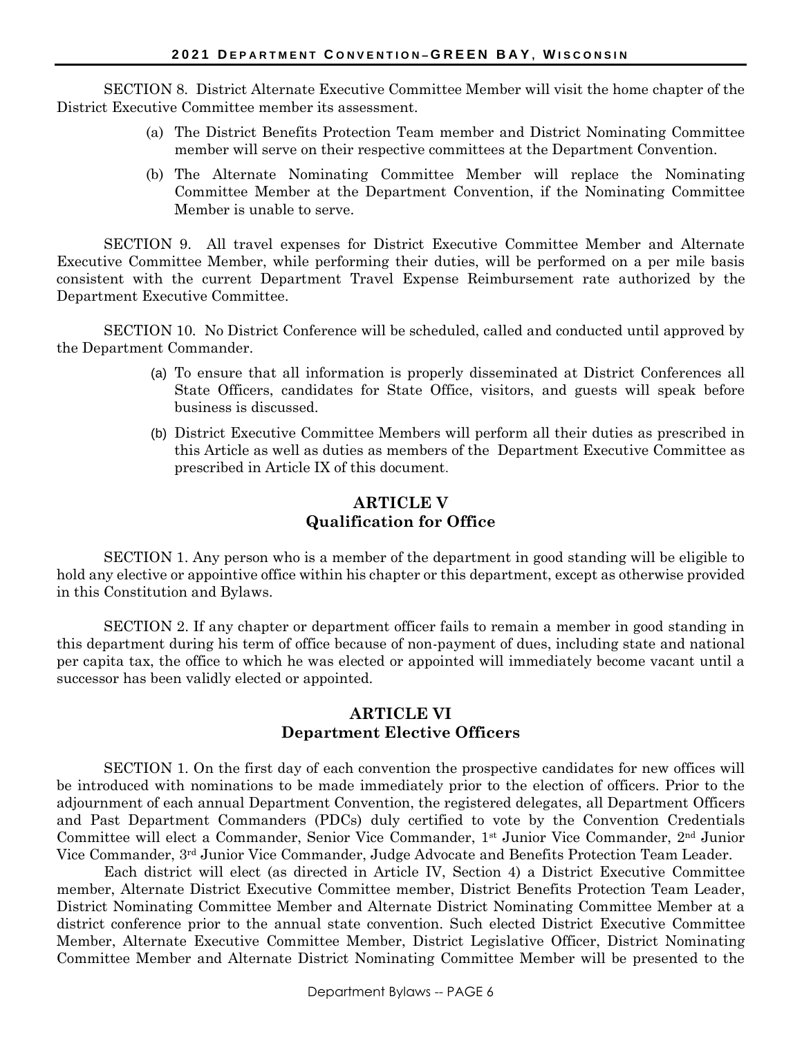SECTION 8. District Alternate Executive Committee Member will visit the home chapter of the District Executive Committee member its assessment.

- (a) The District Benefits Protection Team member and District Nominating Committee member will serve on their respective committees at the Department Convention.
- (b) The Alternate Nominating Committee Member will replace the Nominating Committee Member at the Department Convention, if the Nominating Committee Member is unable to serve.

SECTION 9. All travel expenses for District Executive Committee Member and Alternate Executive Committee Member, while performing their duties, will be performed on a per mile basis consistent with the current Department Travel Expense Reimbursement rate authorized by the Department Executive Committee.

SECTION 10. No District Conference will be scheduled, called and conducted until approved by the Department Commander.

- (a) To ensure that all information is properly disseminated at District Conferences all State Officers, candidates for State Office, visitors, and guests will speak before business is discussed.
- (b) District Executive Committee Members will perform all their duties as prescribed in this Article as well as duties as members of the Department Executive Committee as prescribed in Article IX of this document.

### **ARTICLE V Qualification for Office**

SECTION 1. Any person who is a member of the department in good standing will be eligible to hold any elective or appointive office within his chapter or this department, except as otherwise provided in this Constitution and Bylaws.

SECTION 2. If any chapter or department officer fails to remain a member in good standing in this department during his term of office because of non-payment of dues, including state and national per capita tax, the office to which he was elected or appointed will immediately become vacant until a successor has been validly elected or appointed.

### **ARTICLE VI Department Elective Officers**

SECTION 1. On the first day of each convention the prospective candidates for new offices will be introduced with nominations to be made immediately prior to the election of officers. Prior to the adjournment of each annual Department Convention, the registered delegates, all Department Officers and Past Department Commanders (PDCs) duly certified to vote by the Convention Credentials Committee will elect a Commander, Senior Vice Commander, 1st Junior Vice Commander, 2nd Junior Vice Commander, 3rd Junior Vice Commander, Judge Advocate and Benefits Protection Team Leader.

Each district will elect (as directed in Article IV, Section 4) a District Executive Committee member, Alternate District Executive Committee member, District Benefits Protection Team Leader, District Nominating Committee Member and Alternate District Nominating Committee Member at a district conference prior to the annual state convention. Such elected District Executive Committee Member, Alternate Executive Committee Member, District Legislative Officer, District Nominating Committee Member and Alternate District Nominating Committee Member will be presented to the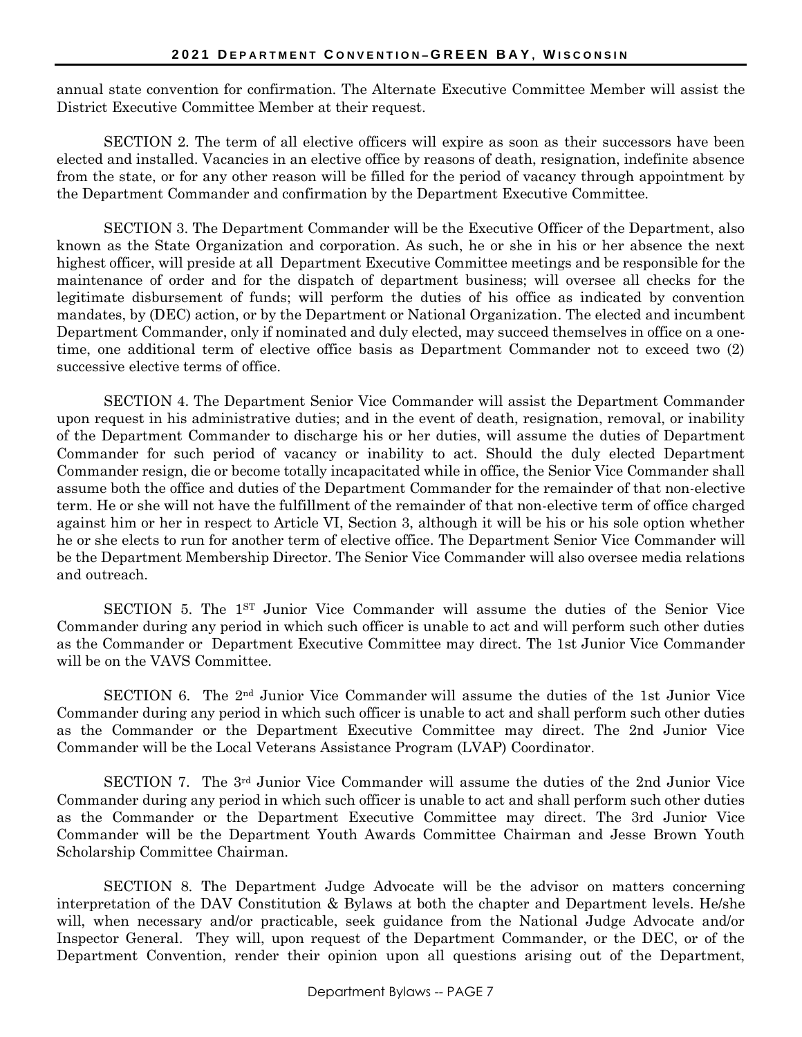annual state convention for confirmation. The Alternate Executive Committee Member will assist the District Executive Committee Member at their request.

SECTION 2. The term of all elective officers will expire as soon as their successors have been elected and installed. Vacancies in an elective office by reasons of death, resignation, indefinite absence from the state, or for any other reason will be filled for the period of vacancy through appointment by the Department Commander and confirmation by the Department Executive Committee.

SECTION 3. The Department Commander will be the Executive Officer of the Department, also known as the State Organization and corporation. As such, he or she in his or her absence the next highest officer, will preside at all Department Executive Committee meetings and be responsible for the maintenance of order and for the dispatch of department business; will oversee all checks for the legitimate disbursement of funds; will perform the duties of his office as indicated by convention mandates, by (DEC) action, or by the Department or National Organization. The elected and incumbent Department Commander, only if nominated and duly elected, may succeed themselves in office on a onetime, one additional term of elective office basis as Department Commander not to exceed two (2) successive elective terms of office.

SECTION 4. The Department Senior Vice Commander will assist the Department Commander upon request in his administrative duties; and in the event of death, resignation, removal, or inability of the Department Commander to discharge his or her duties, will assume the duties of Department Commander for such period of vacancy or inability to act. Should the duly elected Department Commander resign, die or become totally incapacitated while in office, the Senior Vice Commander shall assume both the office and duties of the Department Commander for the remainder of that non-elective term. He or she will not have the fulfillment of the remainder of that non-elective term of office charged against him or her in respect to Article VI, Section 3, although it will be his or his sole option whether he or she elects to run for another term of elective office. The Department Senior Vice Commander will be the Department Membership Director. The Senior Vice Commander will also oversee media relations and outreach.

SECTION 5. The 1ST Junior Vice Commander will assume the duties of the Senior Vice Commander during any period in which such officer is unable to act and will perform such other duties as the Commander or Department Executive Committee may direct. The 1st Junior Vice Commander will be on the VAVS Committee.

SECTION 6. The  $2<sup>nd</sup>$  Junior Vice Commander will assume the duties of the 1st Junior Vice Commander during any period in which such officer is unable to act and shall perform such other duties as the Commander or the Department Executive Committee may direct. The 2nd Junior Vice Commander will be the Local Veterans Assistance Program (LVAP) Coordinator.

SECTION 7. The 3rd Junior Vice Commander will assume the duties of the 2nd Junior Vice Commander during any period in which such officer is unable to act and shall perform such other duties as the Commander or the Department Executive Committee may direct. The 3rd Junior Vice Commander will be the Department Youth Awards Committee Chairman and Jesse Brown Youth Scholarship Committee Chairman.

SECTION 8. The Department Judge Advocate will be the advisor on matters concerning interpretation of the DAV Constitution & Bylaws at both the chapter and Department levels. He/she will, when necessary and/or practicable, seek guidance from the National Judge Advocate and/or Inspector General. They will, upon request of the Department Commander, or the DEC, or of the Department Convention, render their opinion upon all questions arising out of the Department,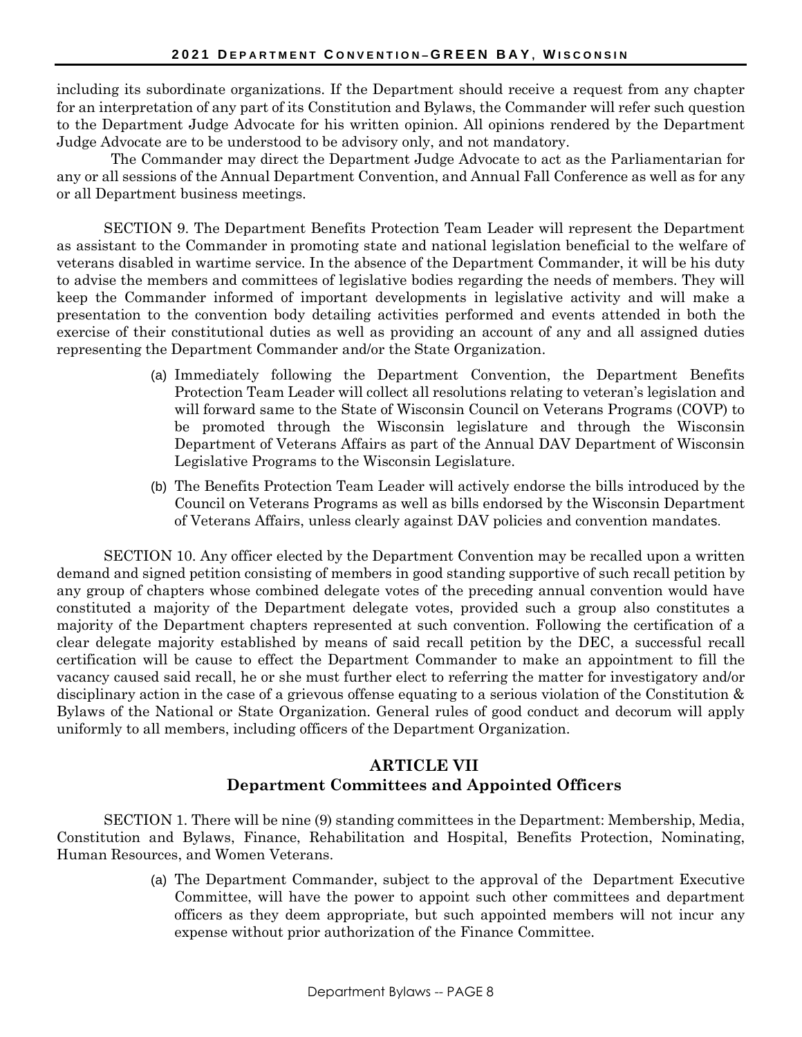including its subordinate organizations. If the Department should receive a request from any chapter for an interpretation of any part of its Constitution and Bylaws, the Commander will refer such question to the Department Judge Advocate for his written opinion. All opinions rendered by the Department Judge Advocate are to be understood to be advisory only, and not mandatory.

The Commander may direct the Department Judge Advocate to act as the Parliamentarian for any or all sessions of the Annual Department Convention, and Annual Fall Conference as well as for any or all Department business meetings.

SECTION 9. The Department Benefits Protection Team Leader will represent the Department as assistant to the Commander in promoting state and national legislation beneficial to the welfare of veterans disabled in wartime service. In the absence of the Department Commander, it will be his duty to advise the members and committees of legislative bodies regarding the needs of members. They will keep the Commander informed of important developments in legislative activity and will make a presentation to the convention body detailing activities performed and events attended in both the exercise of their constitutional duties as well as providing an account of any and all assigned duties representing the Department Commander and/or the State Organization.

- (a) Immediately following the Department Convention, the Department Benefits Protection Team Leader will collect all resolutions relating to veteran's legislation and will forward same to the State of Wisconsin Council on Veterans Programs (COVP) to be promoted through the Wisconsin legislature and through the Wisconsin Department of Veterans Affairs as part of the Annual DAV Department of Wisconsin Legislative Programs to the Wisconsin Legislature.
- (b) The Benefits Protection Team Leader will actively endorse the bills introduced by the Council on Veterans Programs as well as bills endorsed by the Wisconsin Department of Veterans Affairs, unless clearly against DAV policies and convention mandates.

SECTION 10. Any officer elected by the Department Convention may be recalled upon a written demand and signed petition consisting of members in good standing supportive of such recall petition by any group of chapters whose combined delegate votes of the preceding annual convention would have constituted a majority of the Department delegate votes, provided such a group also constitutes a majority of the Department chapters represented at such convention. Following the certification of a clear delegate majority established by means of said recall petition by the DEC, a successful recall certification will be cause to effect the Department Commander to make an appointment to fill the vacancy caused said recall, he or she must further elect to referring the matter for investigatory and/or disciplinary action in the case of a grievous offense equating to a serious violation of the Constitution & Bylaws of the National or State Organization. General rules of good conduct and decorum will apply uniformly to all members, including officers of the Department Organization.

### **ARTICLE VII Department Committees and Appointed Officers**

SECTION 1. There will be nine (9) standing committees in the Department: Membership, Media, Constitution and Bylaws, Finance, Rehabilitation and Hospital, Benefits Protection, Nominating, Human Resources, and Women Veterans.

> (a) The Department Commander, subject to the approval of the Department Executive Committee, will have the power to appoint such other committees and department officers as they deem appropriate, but such appointed members will not incur any expense without prior authorization of the Finance Committee.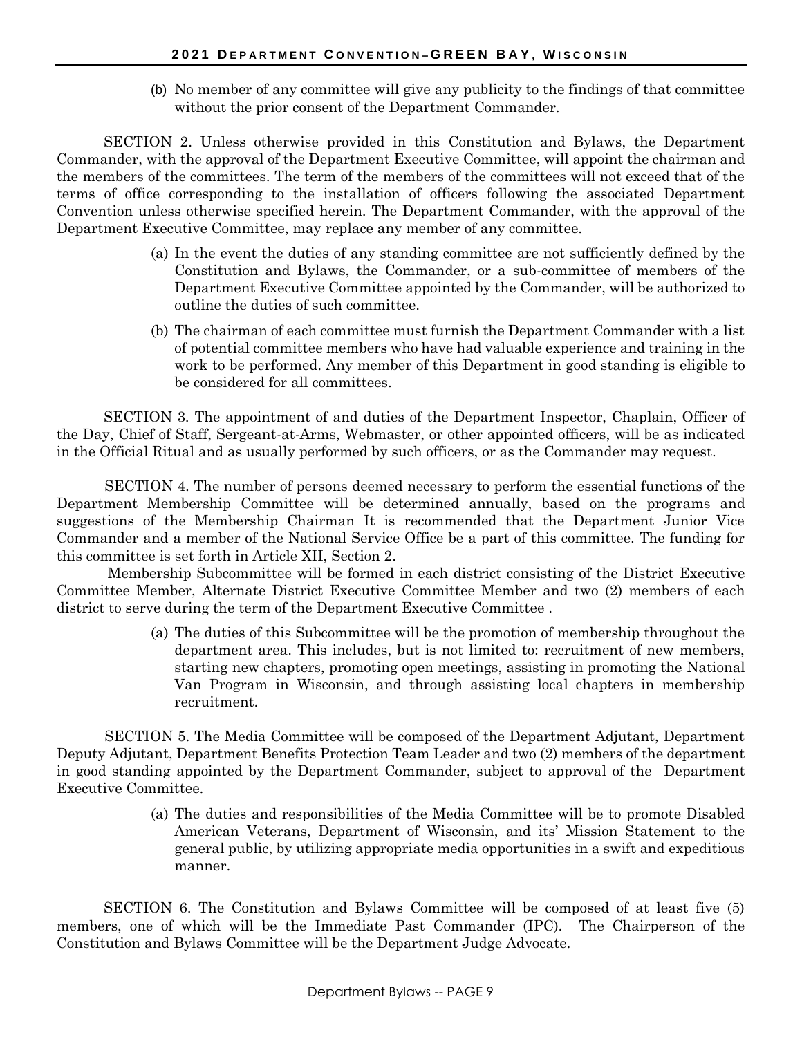(b) No member of any committee will give any publicity to the findings of that committee without the prior consent of the Department Commander.

SECTION 2. Unless otherwise provided in this Constitution and Bylaws, the Department Commander, with the approval of the Department Executive Committee, will appoint the chairman and the members of the committees. The term of the members of the committees will not exceed that of the terms of office corresponding to the installation of officers following the associated Department Convention unless otherwise specified herein. The Department Commander, with the approval of the Department Executive Committee, may replace any member of any committee.

- (a) In the event the duties of any standing committee are not sufficiently defined by the Constitution and Bylaws, the Commander, or a sub-committee of members of the Department Executive Committee appointed by the Commander, will be authorized to outline the duties of such committee.
- (b) The chairman of each committee must furnish the Department Commander with a list of potential committee members who have had valuable experience and training in the work to be performed. Any member of this Department in good standing is eligible to be considered for all committees.

SECTION 3. The appointment of and duties of the Department Inspector, Chaplain, Officer of the Day, Chief of Staff, Sergeant-at-Arms, Webmaster, or other appointed officers, will be as indicated in the Official Ritual and as usually performed by such officers, or as the Commander may request.

SECTION 4. The number of persons deemed necessary to perform the essential functions of the Department Membership Committee will be determined annually, based on the programs and suggestions of the Membership Chairman It is recommended that the Department Junior Vice Commander and a member of the National Service Office be a part of this committee. The funding for this committee is set forth in Article XII, Section 2.

Membership Subcommittee will be formed in each district consisting of the District Executive Committee Member, Alternate District Executive Committee Member and two (2) members of each district to serve during the term of the Department Executive Committee .

> (a) The duties of this Subcommittee will be the promotion of membership throughout the department area. This includes, but is not limited to: recruitment of new members, starting new chapters, promoting open meetings, assisting in promoting the National Van Program in Wisconsin, and through assisting local chapters in membership recruitment.

SECTION 5. The Media Committee will be composed of the Department Adjutant, Department Deputy Adjutant, Department Benefits Protection Team Leader and two (2) members of the department in good standing appointed by the Department Commander, subject to approval of the Department Executive Committee.

> (a) The duties and responsibilities of the Media Committee will be to promote Disabled American Veterans, Department of Wisconsin, and its' Mission Statement to the general public, by utilizing appropriate media opportunities in a swift and expeditious manner.

SECTION 6. The Constitution and Bylaws Committee will be composed of at least five (5) members, one of which will be the Immediate Past Commander (IPC). The Chairperson of the Constitution and Bylaws Committee will be the Department Judge Advocate.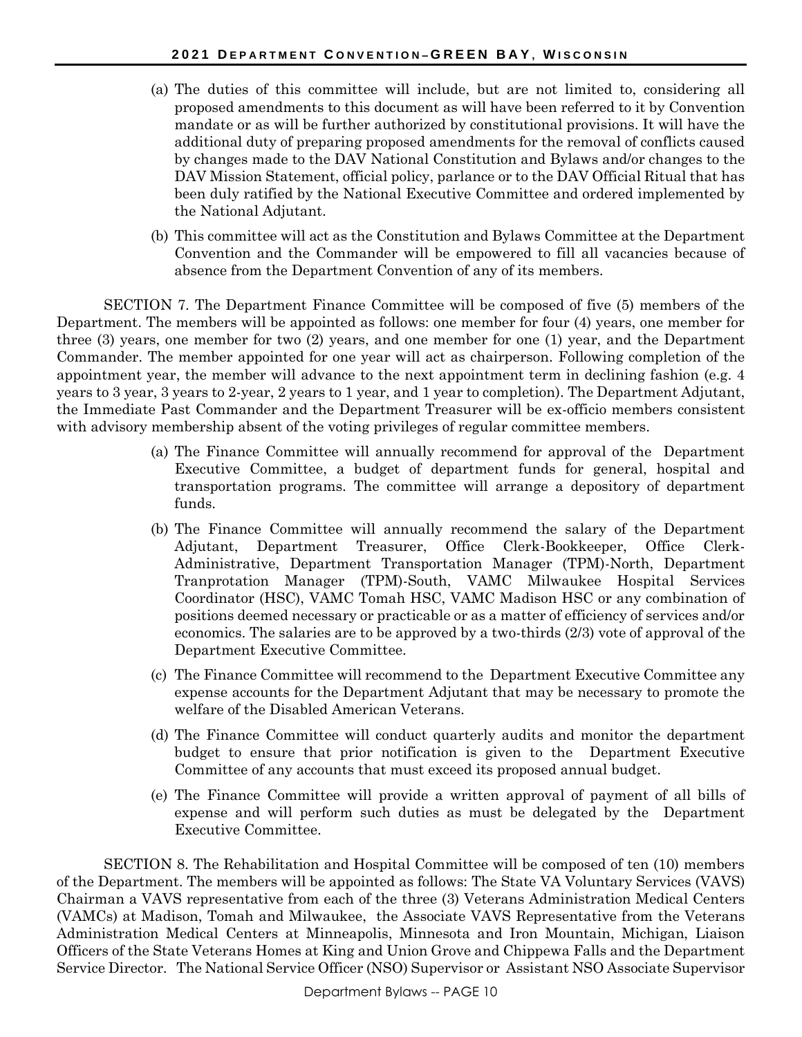- (a) The duties of this committee will include, but are not limited to, considering all proposed amendments to this document as will have been referred to it by Convention mandate or as will be further authorized by constitutional provisions. It will have the additional duty of preparing proposed amendments for the removal of conflicts caused by changes made to the DAV National Constitution and Bylaws and/or changes to the DAV Mission Statement, official policy, parlance or to the DAV Official Ritual that has been duly ratified by the National Executive Committee and ordered implemented by the National Adjutant.
- (b) This committee will act as the Constitution and Bylaws Committee at the Department Convention and the Commander will be empowered to fill all vacancies because of absence from the Department Convention of any of its members.

SECTION 7. The Department Finance Committee will be composed of five (5) members of the Department. The members will be appointed as follows: one member for four (4) years, one member for three (3) years, one member for two (2) years, and one member for one (1) year, and the Department Commander. The member appointed for one year will act as chairperson. Following completion of the appointment year, the member will advance to the next appointment term in declining fashion (e.g. 4 years to 3 year, 3 years to 2-year, 2 years to 1 year, and 1 year to completion). The Department Adjutant, the Immediate Past Commander and the Department Treasurer will be ex-officio members consistent with advisory membership absent of the voting privileges of regular committee members.

- (a) The Finance Committee will annually recommend for approval of the Department Executive Committee, a budget of department funds for general, hospital and transportation programs. The committee will arrange a depository of department funds.
- (b) The Finance Committee will annually recommend the salary of the Department Adjutant, Department Treasurer, Office Clerk-Bookkeeper, Office Clerk-Administrative, Department Transportation Manager (TPM)-North, Department Tranprotation Manager (TPM)-South, VAMC Milwaukee Hospital Services Coordinator (HSC), VAMC Tomah HSC, VAMC Madison HSC or any combination of positions deemed necessary or practicable or as a matter of efficiency of services and/or economics. The salaries are to be approved by a two-thirds (2/3) vote of approval of the Department Executive Committee.
- (c) The Finance Committee will recommend to the Department Executive Committee any expense accounts for the Department Adjutant that may be necessary to promote the welfare of the Disabled American Veterans.
- (d) The Finance Committee will conduct quarterly audits and monitor the department budget to ensure that prior notification is given to the Department Executive Committee of any accounts that must exceed its proposed annual budget.
- (e) The Finance Committee will provide a written approval of payment of all bills of expense and will perform such duties as must be delegated by the Department Executive Committee.

SECTION 8. The Rehabilitation and Hospital Committee will be composed of ten (10) members of the Department. The members will be appointed as follows: The State VA Voluntary Services (VAVS) Chairman a VAVS representative from each of the three (3) Veterans Administration Medical Centers (VAMCs) at Madison, Tomah and Milwaukee, the Associate VAVS Representative from the Veterans Administration Medical Centers at Minneapolis, Minnesota and Iron Mountain, Michigan, Liaison Officers of the State Veterans Homes at King and Union Grove and Chippewa Falls and the Department Service Director. The National Service Officer (NSO) Supervisor or Assistant NSO Associate Supervisor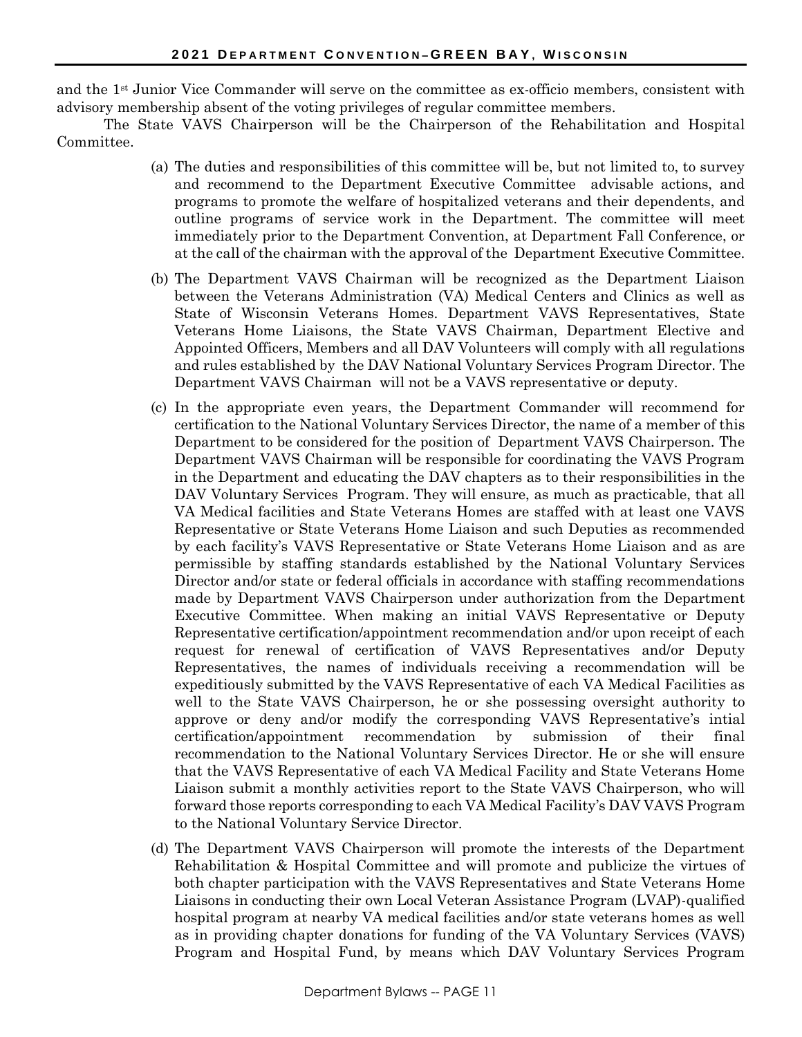and the 1st Junior Vice Commander will serve on the committee as ex-officio members, consistent with advisory membership absent of the voting privileges of regular committee members.

The State VAVS Chairperson will be the Chairperson of the Rehabilitation and Hospital Committee.

- (a) The duties and responsibilities of this committee will be, but not limited to, to survey and recommend to the Department Executive Committee advisable actions, and programs to promote the welfare of hospitalized veterans and their dependents, and outline programs of service work in the Department. The committee will meet immediately prior to the Department Convention, at Department Fall Conference, or at the call of the chairman with the approval of the Department Executive Committee.
- (b) The Department VAVS Chairman will be recognized as the Department Liaison between the Veterans Administration (VA) Medical Centers and Clinics as well as State of Wisconsin Veterans Homes. Department VAVS Representatives, State Veterans Home Liaisons, the State VAVS Chairman, Department Elective and Appointed Officers, Members and all DAV Volunteers will comply with all regulations and rules established by the DAV National Voluntary Services Program Director. The Department VAVS Chairman will not be a VAVS representative or deputy.
- (c) In the appropriate even years, the Department Commander will recommend for certification to the National Voluntary Services Director, the name of a member of this Department to be considered for the position of Department VAVS Chairperson. The Department VAVS Chairman will be responsible for coordinating the VAVS Program in the Department and educating the DAV chapters as to their responsibilities in the DAV Voluntary Services Program. They will ensure, as much as practicable, that all VA Medical facilities and State Veterans Homes are staffed with at least one VAVS Representative or State Veterans Home Liaison and such Deputies as recommended by each facility's VAVS Representative or State Veterans Home Liaison and as are permissible by staffing standards established by the National Voluntary Services Director and/or state or federal officials in accordance with staffing recommendations made by Department VAVS Chairperson under authorization from the Department Executive Committee. When making an initial VAVS Representative or Deputy Representative certification/appointment recommendation and/or upon receipt of each request for renewal of certification of VAVS Representatives and/or Deputy Representatives, the names of individuals receiving a recommendation will be expeditiously submitted by the VAVS Representative of each VA Medical Facilities as well to the State VAVS Chairperson, he or she possessing oversight authority to approve or deny and/or modify the corresponding VAVS Representative's intial certification/appointment recommendation by submission of their final recommendation to the National Voluntary Services Director. He or she will ensure that the VAVS Representative of each VA Medical Facility and State Veterans Home Liaison submit a monthly activities report to the State VAVS Chairperson, who will forward those reports corresponding to each VA Medical Facility's DAV VAVS Program to the National Voluntary Service Director.
- (d) The Department VAVS Chairperson will promote the interests of the Department Rehabilitation & Hospital Committee and will promote and publicize the virtues of both chapter participation with the VAVS Representatives and State Veterans Home Liaisons in conducting their own Local Veteran Assistance Program (LVAP)-qualified hospital program at nearby VA medical facilities and/or state veterans homes as well as in providing chapter donations for funding of the VA Voluntary Services (VAVS) Program and Hospital Fund, by means which DAV Voluntary Services Program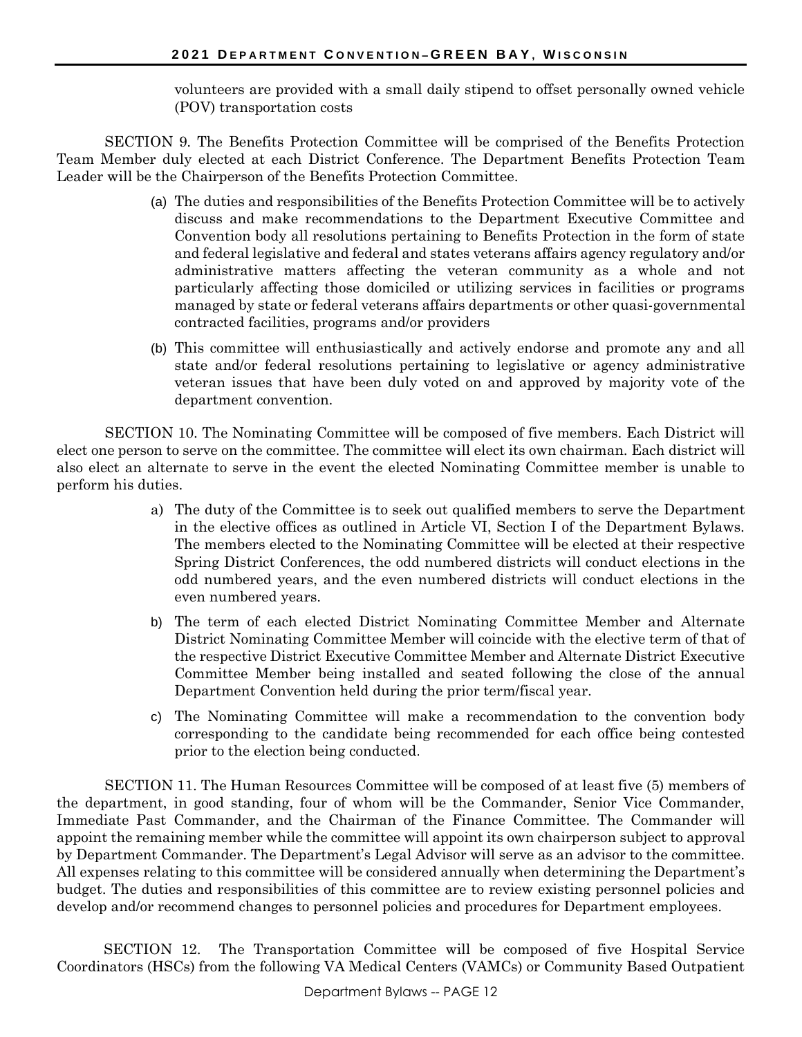volunteers are provided with a small daily stipend to offset personally owned vehicle (POV) transportation costs

SECTION 9. The Benefits Protection Committee will be comprised of the Benefits Protection Team Member duly elected at each District Conference. The Department Benefits Protection Team Leader will be the Chairperson of the Benefits Protection Committee.

- (a) The duties and responsibilities of the Benefits Protection Committee will be to actively discuss and make recommendations to the Department Executive Committee and Convention body all resolutions pertaining to Benefits Protection in the form of state and federal legislative and federal and states veterans affairs agency regulatory and/or administrative matters affecting the veteran community as a whole and not particularly affecting those domiciled or utilizing services in facilities or programs managed by state or federal veterans affairs departments or other quasi-governmental contracted facilities, programs and/or providers
- (b) This committee will enthusiastically and actively endorse and promote any and all state and/or federal resolutions pertaining to legislative or agency administrative veteran issues that have been duly voted on and approved by majority vote of the department convention.

SECTION 10. The Nominating Committee will be composed of five members. Each District will elect one person to serve on the committee. The committee will elect its own chairman. Each district will also elect an alternate to serve in the event the elected Nominating Committee member is unable to perform his duties.

- a) The duty of the Committee is to seek out qualified members to serve the Department in the elective offices as outlined in Article VI, Section I of the Department Bylaws. The members elected to the Nominating Committee will be elected at their respective Spring District Conferences, the odd numbered districts will conduct elections in the odd numbered years, and the even numbered districts will conduct elections in the even numbered years.
- b) The term of each elected District Nominating Committee Member and Alternate District Nominating Committee Member will coincide with the elective term of that of the respective District Executive Committee Member and Alternate District Executive Committee Member being installed and seated following the close of the annual Department Convention held during the prior term/fiscal year.
- c) The Nominating Committee will make a recommendation to the convention body corresponding to the candidate being recommended for each office being contested prior to the election being conducted.

SECTION 11. The Human Resources Committee will be composed of at least five (5) members of the department, in good standing, four of whom will be the Commander, Senior Vice Commander, Immediate Past Commander, and the Chairman of the Finance Committee. The Commander will appoint the remaining member while the committee will appoint its own chairperson subject to approval by Department Commander. The Department's Legal Advisor will serve as an advisor to the committee. All expenses relating to this committee will be considered annually when determining the Department's budget. The duties and responsibilities of this committee are to review existing personnel policies and develop and/or recommend changes to personnel policies and procedures for Department employees.

SECTION 12. The Transportation Committee will be composed of five Hospital Service Coordinators (HSCs) from the following VA Medical Centers (VAMCs) or Community Based Outpatient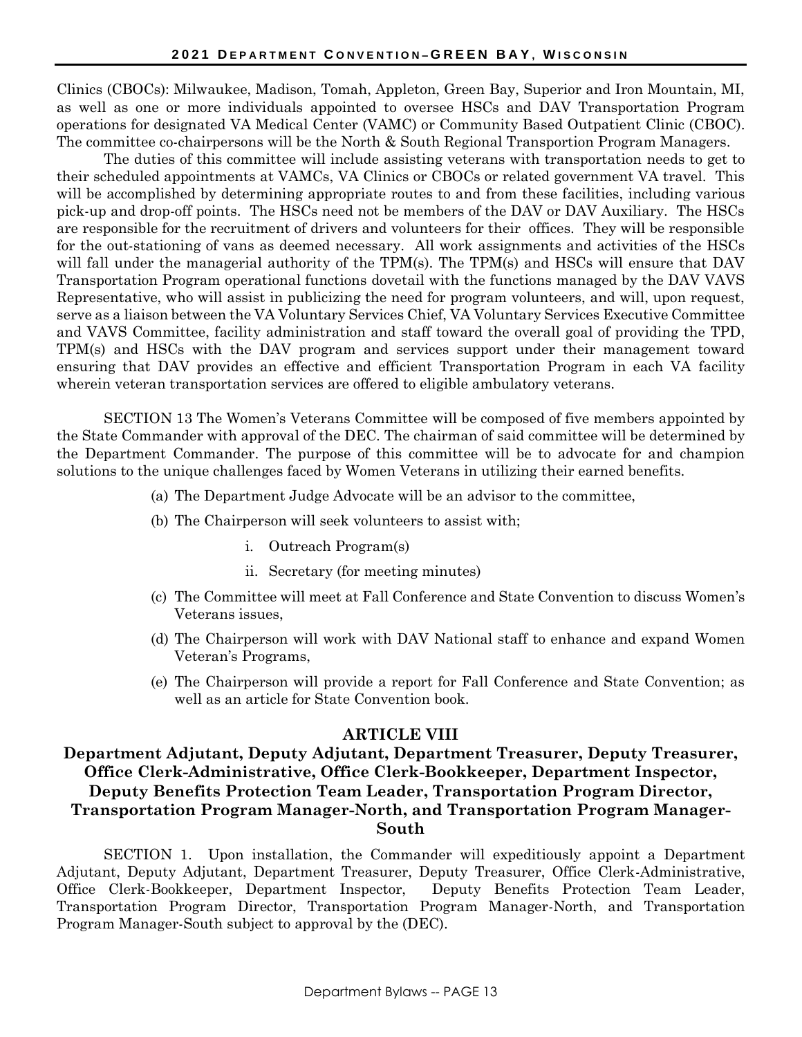Clinics (CBOCs): Milwaukee, Madison, Tomah, Appleton, Green Bay, Superior and Iron Mountain, MI, as well as one or more individuals appointed to oversee HSCs and DAV Transportation Program operations for designated VA Medical Center (VAMC) or Community Based Outpatient Clinic (CBOC). The committee co-chairpersons will be the North & South Regional Transportion Program Managers.

The duties of this committee will include assisting veterans with transportation needs to get to their scheduled appointments at VAMCs, VA Clinics or CBOCs or related government VA travel. This will be accomplished by determining appropriate routes to and from these facilities, including various pick-up and drop-off points. The HSCs need not be members of the DAV or DAV Auxiliary. The HSCs are responsible for the recruitment of drivers and volunteers for their offices. They will be responsible for the out-stationing of vans as deemed necessary. All work assignments and activities of the HSCs will fall under the managerial authority of the TPM(s). The TPM(s) and HSCs will ensure that DAV Transportation Program operational functions dovetail with the functions managed by the DAV VAVS Representative, who will assist in publicizing the need for program volunteers, and will, upon request, serve as a liaison between the VA Voluntary Services Chief, VA Voluntary Services Executive Committee and VAVS Committee, facility administration and staff toward the overall goal of providing the TPD, TPM(s) and HSCs with the DAV program and services support under their management toward ensuring that DAV provides an effective and efficient Transportation Program in each VA facility wherein veteran transportation services are offered to eligible ambulatory veterans.

SECTION 13 The Women's Veterans Committee will be composed of five members appointed by the State Commander with approval of the DEC. The chairman of said committee will be determined by the Department Commander. The purpose of this committee will be to advocate for and champion solutions to the unique challenges faced by Women Veterans in utilizing their earned benefits.

- (a) The Department Judge Advocate will be an advisor to the committee,
- (b) The Chairperson will seek volunteers to assist with;
	- i. Outreach Program(s)
	- ii. Secretary (for meeting minutes)
- (c) The Committee will meet at Fall Conference and State Convention to discuss Women's Veterans issues,
- (d) The Chairperson will work with DAV National staff to enhance and expand Women Veteran's Programs,
- (e) The Chairperson will provide a report for Fall Conference and State Convention; as well as an article for State Convention book.

#### **ARTICLE VIII**

### **Department Adjutant, Deputy Adjutant, Department Treasurer, Deputy Treasurer, Office Clerk-Administrative, Office Clerk-Bookkeeper, Department Inspector, Deputy Benefits Protection Team Leader, Transportation Program Director, Transportation Program Manager-North, and Transportation Program Manager-South**

SECTION 1. Upon installation, the Commander will expeditiously appoint a Department Adjutant, Deputy Adjutant, Department Treasurer, Deputy Treasurer, Office Clerk-Administrative, Office Clerk-Bookkeeper, Department Inspector, Deputy Benefits Protection Team Leader, Transportation Program Director, Transportation Program Manager-North, and Transportation Program Manager-South subject to approval by the (DEC).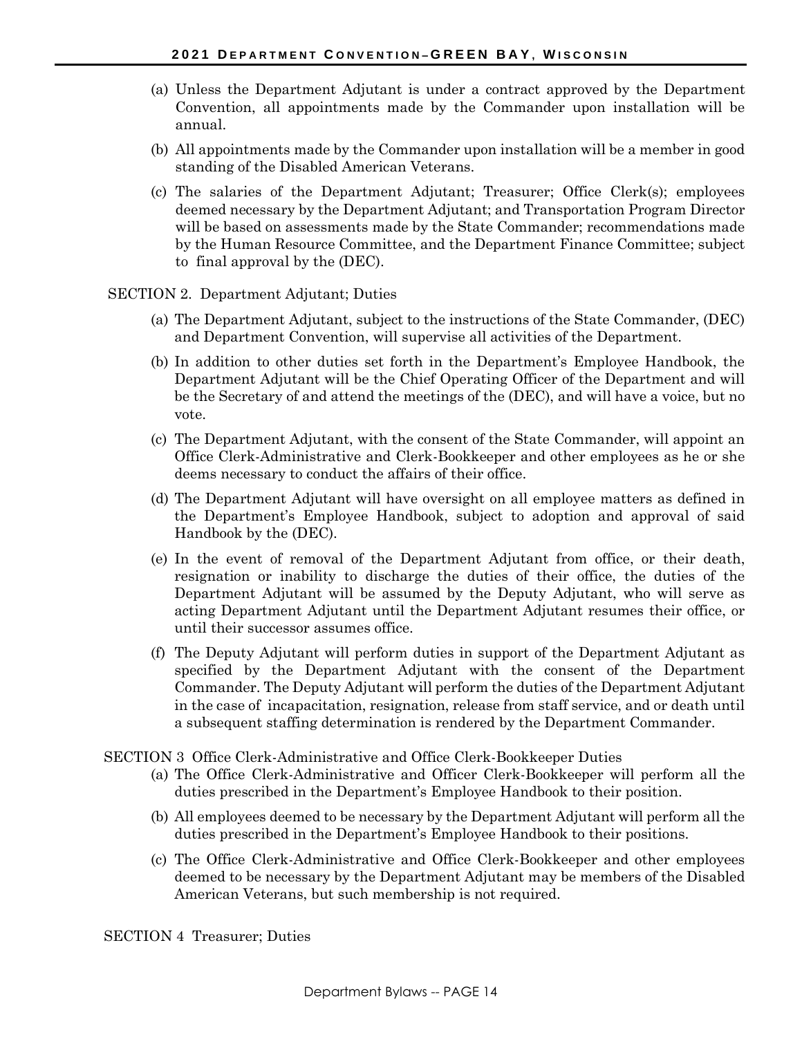- (a) Unless the Department Adjutant is under a contract approved by the Department Convention, all appointments made by the Commander upon installation will be annual.
- (b) All appointments made by the Commander upon installation will be a member in good standing of the Disabled American Veterans.
- (c) The salaries of the Department Adjutant; Treasurer; Office Clerk(s); employees deemed necessary by the Department Adjutant; and Transportation Program Director will be based on assessments made by the State Commander; recommendations made by the Human Resource Committee, and the Department Finance Committee; subject to final approval by the (DEC).
- SECTION 2. Department Adjutant; Duties
	- (a) The Department Adjutant, subject to the instructions of the State Commander, (DEC) and Department Convention, will supervise all activities of the Department.
	- (b) In addition to other duties set forth in the Department's Employee Handbook, the Department Adjutant will be the Chief Operating Officer of the Department and will be the Secretary of and attend the meetings of the (DEC), and will have a voice, but no vote.
	- (c) The Department Adjutant, with the consent of the State Commander, will appoint an Office Clerk-Administrative and Clerk-Bookkeeper and other employees as he or she deems necessary to conduct the affairs of their office.
	- (d) The Department Adjutant will have oversight on all employee matters as defined in the Department's Employee Handbook, subject to adoption and approval of said Handbook by the (DEC).
	- (e) In the event of removal of the Department Adjutant from office, or their death, resignation or inability to discharge the duties of their office, the duties of the Department Adjutant will be assumed by the Deputy Adjutant, who will serve as acting Department Adjutant until the Department Adjutant resumes their office, or until their successor assumes office.
	- (f) The Deputy Adjutant will perform duties in support of the Department Adjutant as specified by the Department Adjutant with the consent of the Department Commander. The Deputy Adjutant will perform the duties of the Department Adjutant in the case of incapacitation, resignation, release from staff service, and or death until a subsequent staffing determination is rendered by the Department Commander.
- SECTION 3 Office Clerk-Administrative and Office Clerk-Bookkeeper Duties
	- (a) The Office Clerk-Administrative and Officer Clerk-Bookkeeper will perform all the duties prescribed in the Department's Employee Handbook to their position.
	- (b) All employees deemed to be necessary by the Department Adjutant will perform all the duties prescribed in the Department's Employee Handbook to their positions.
	- (c) The Office Clerk-Administrative and Office Clerk-Bookkeeper and other employees deemed to be necessary by the Department Adjutant may be members of the Disabled American Veterans, but such membership is not required.

SECTION 4 Treasurer; Duties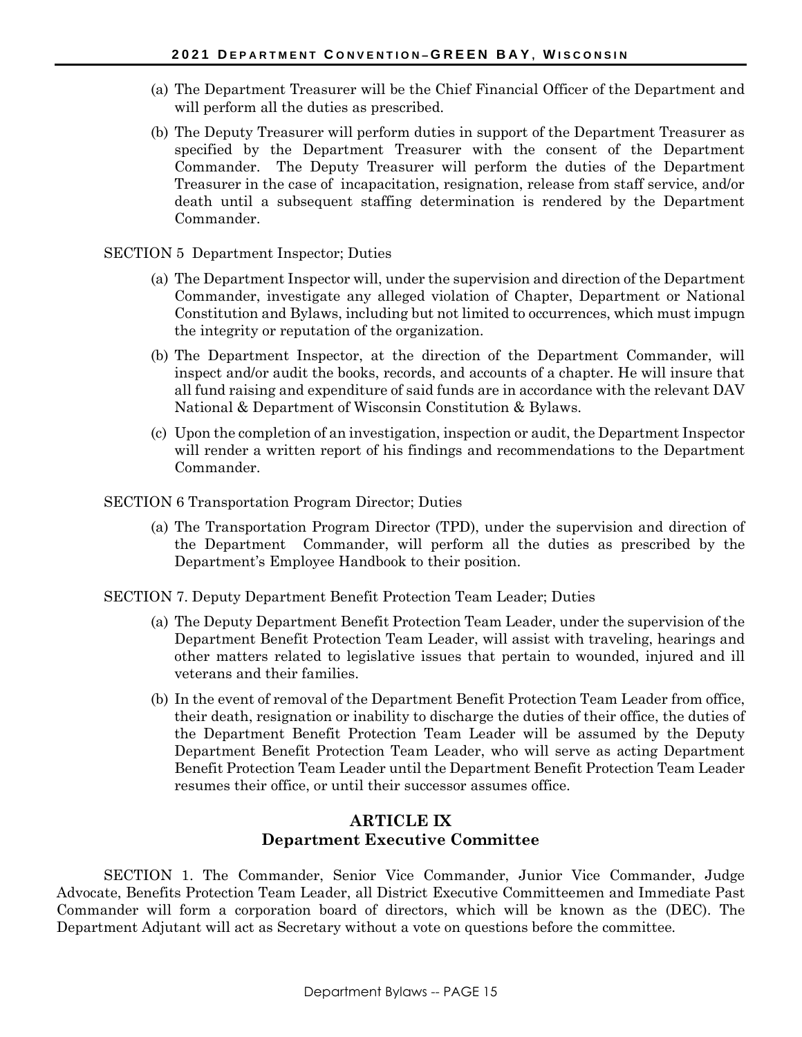- (a) The Department Treasurer will be the Chief Financial Officer of the Department and will perform all the duties as prescribed.
- (b) The Deputy Treasurer will perform duties in support of the Department Treasurer as specified by the Department Treasurer with the consent of the Department Commander. The Deputy Treasurer will perform the duties of the Department Treasurer in the case of incapacitation, resignation, release from staff service, and/or death until a subsequent staffing determination is rendered by the Department Commander.
- SECTION 5 Department Inspector; Duties
	- (a) The Department Inspector will, under the supervision and direction of the Department Commander, investigate any alleged violation of Chapter, Department or National Constitution and Bylaws, including but not limited to occurrences, which must impugn the integrity or reputation of the organization.
	- (b) The Department Inspector, at the direction of the Department Commander, will inspect and/or audit the books, records, and accounts of a chapter. He will insure that all fund raising and expenditure of said funds are in accordance with the relevant DAV National & Department of Wisconsin Constitution & Bylaws.
	- (c) Upon the completion of an investigation, inspection or audit, the Department Inspector will render a written report of his findings and recommendations to the Department Commander.
- SECTION 6 Transportation Program Director; Duties
	- (a) The Transportation Program Director (TPD), under the supervision and direction of the Department Commander, will perform all the duties as prescribed by the Department's Employee Handbook to their position.
- SECTION 7. Deputy Department Benefit Protection Team Leader; Duties
	- (a) The Deputy Department Benefit Protection Team Leader, under the supervision of the Department Benefit Protection Team Leader, will assist with traveling, hearings and other matters related to legislative issues that pertain to wounded, injured and ill veterans and their families.
	- (b) In the event of removal of the Department Benefit Protection Team Leader from office, their death, resignation or inability to discharge the duties of their office, the duties of the Department Benefit Protection Team Leader will be assumed by the Deputy Department Benefit Protection Team Leader, who will serve as acting Department Benefit Protection Team Leader until the Department Benefit Protection Team Leader resumes their office, or until their successor assumes office.

### **ARTICLE IX Department Executive Committee**

SECTION 1. The Commander, Senior Vice Commander, Junior Vice Commander, Judge Advocate, Benefits Protection Team Leader, all District Executive Committeemen and Immediate Past Commander will form a corporation board of directors, which will be known as the (DEC). The Department Adjutant will act as Secretary without a vote on questions before the committee.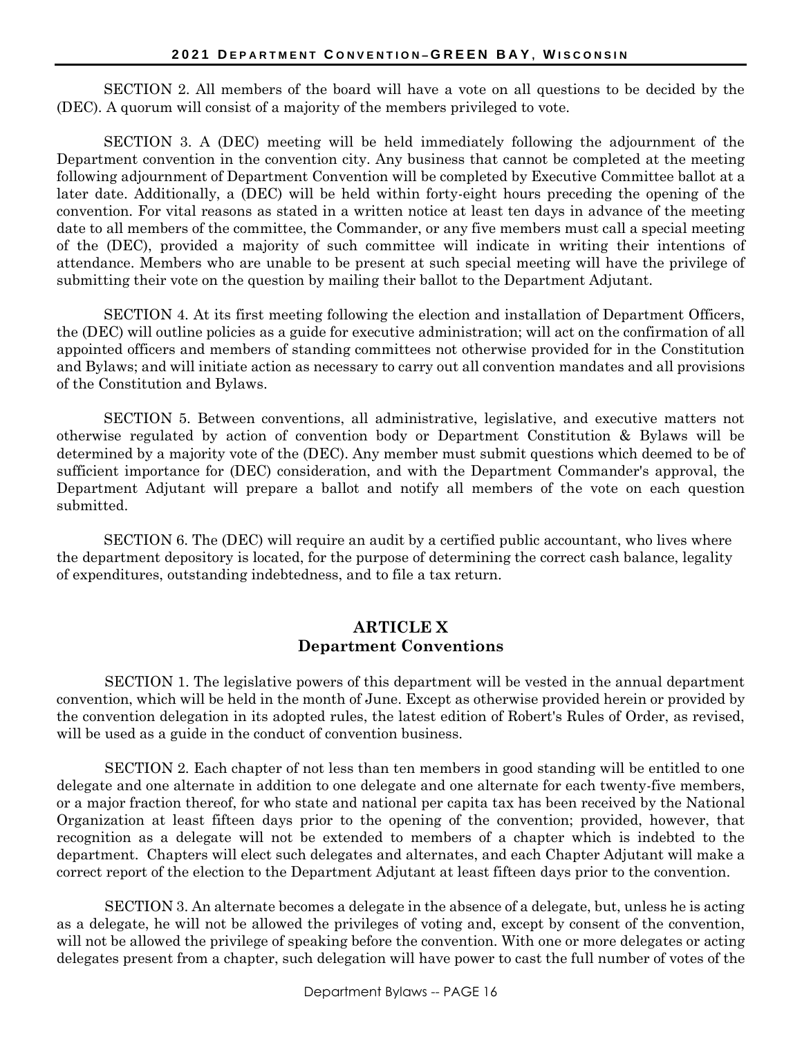SECTION 2. All members of the board will have a vote on all questions to be decided by the (DEC). A quorum will consist of a majority of the members privileged to vote.

SECTION 3. A (DEC) meeting will be held immediately following the adjournment of the Department convention in the convention city. Any business that cannot be completed at the meeting following adjournment of Department Convention will be completed by Executive Committee ballot at a later date. Additionally, a (DEC) will be held within forty-eight hours preceding the opening of the convention. For vital reasons as stated in a written notice at least ten days in advance of the meeting date to all members of the committee, the Commander, or any five members must call a special meeting of the (DEC), provided a majority of such committee will indicate in writing their intentions of attendance. Members who are unable to be present at such special meeting will have the privilege of submitting their vote on the question by mailing their ballot to the Department Adjutant.

SECTION 4. At its first meeting following the election and installation of Department Officers, the (DEC) will outline policies as a guide for executive administration; will act on the confirmation of all appointed officers and members of standing committees not otherwise provided for in the Constitution and Bylaws; and will initiate action as necessary to carry out all convention mandates and all provisions of the Constitution and Bylaws.

SECTION 5. Between conventions, all administrative, legislative, and executive matters not otherwise regulated by action of convention body or Department Constitution & Bylaws will be determined by a majority vote of the (DEC). Any member must submit questions which deemed to be of sufficient importance for (DEC) consideration, and with the Department Commander's approval, the Department Adjutant will prepare a ballot and notify all members of the vote on each question submitted.

SECTION 6. The (DEC) will require an audit by a certified public accountant, who lives where the department depository is located, for the purpose of determining the correct cash balance, legality of expenditures, outstanding indebtedness, and to file a tax return.

### **ARTICLE X Department Conventions**

SECTION 1. The legislative powers of this department will be vested in the annual department convention, which will be held in the month of June. Except as otherwise provided herein or provided by the convention delegation in its adopted rules, the latest edition of Robert's Rules of Order, as revised, will be used as a guide in the conduct of convention business.

SECTION 2. Each chapter of not less than ten members in good standing will be entitled to one delegate and one alternate in addition to one delegate and one alternate for each twenty-five members, or a major fraction thereof, for who state and national per capita tax has been received by the National Organization at least fifteen days prior to the opening of the convention; provided, however, that recognition as a delegate will not be extended to members of a chapter which is indebted to the department. Chapters will elect such delegates and alternates, and each Chapter Adjutant will make a correct report of the election to the Department Adjutant at least fifteen days prior to the convention.

SECTION 3. An alternate becomes a delegate in the absence of a delegate, but, unless he is acting as a delegate, he will not be allowed the privileges of voting and, except by consent of the convention, will not be allowed the privilege of speaking before the convention. With one or more delegates or acting delegates present from a chapter, such delegation will have power to cast the full number of votes of the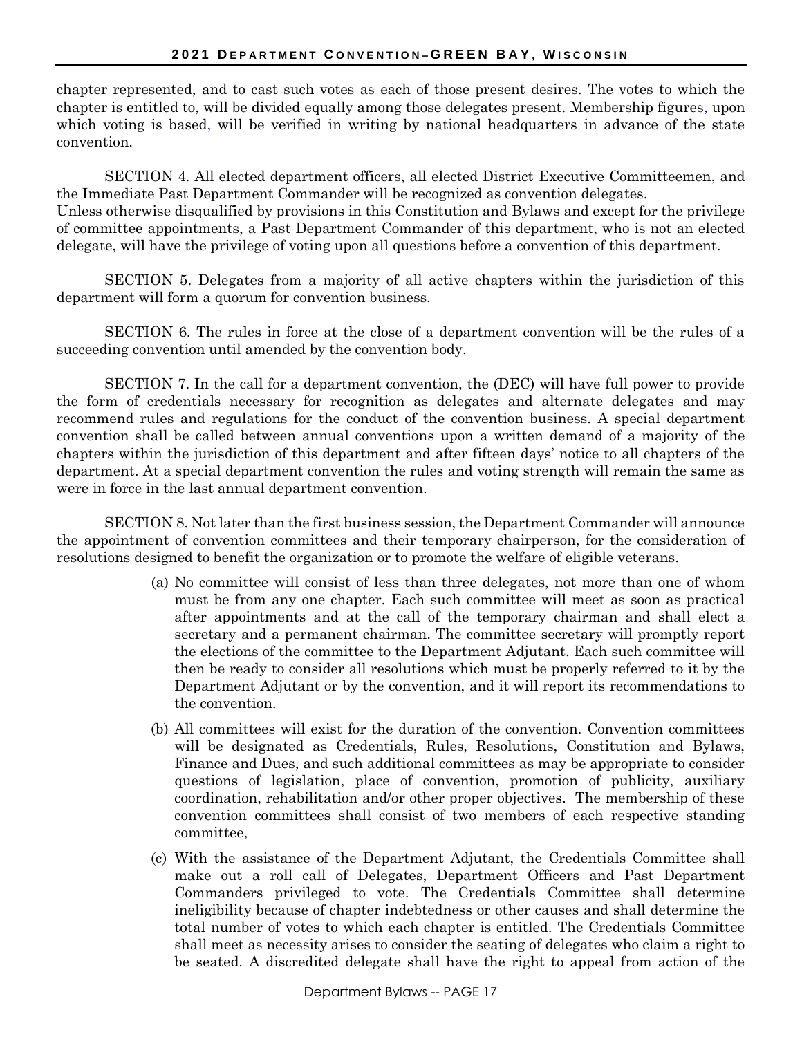chapter represented, and to cast such votes as each of those present desires. The votes to which the chapter is entitled to, will be divided equally among those delegates present. Membership figures, upon which voting is based, will be verified in writing by national headquarters in advance of the state convention.

SECTION 4. All elected department officers, all elected District Executive Committeemen, and the Immediate Past Department Commander will be recognized as convention delegates. Unless otherwise disqualified by provisions in this Constitution and Bylaws and except for the privilege of committee appointments, a Past Department Commander of this department, who is not an elected delegate, will have the privilege of voting upon all questions before a convention of this department.

SECTION 5. Delegates from a majority of all active chapters within the jurisdiction of this department will form a quorum for convention business.

SECTION 6. The rules in force at the close of a department convention will be the rules of a succeeding convention until amended by the convention body.

SECTION 7. In the call for a department convention, the (DEC) will have full power to provide the form of credentials necessary for recognition as delegates and alternate delegates and may recommend rules and regulations for the conduct of the convention business. A special department convention shall be called between annual conventions upon a written demand of a majority of the chapters within the jurisdiction of this department and after fifteen days' notice to all chapters of the department. At a special department convention the rules and voting strength will remain the same as were in force in the last annual department convention.

SECTION 8. Not later than the first business session, the Department Commander will announce the appointment of convention committees and their temporary chairperson, for the consideration of resolutions designed to benefit the organization or to promote the welfare of eligible veterans.

- (a) No committee will consist of less than three delegates, not more than one of whom must be from any one chapter. Each such committee will meet as soon as practical after appointments and at the call of the temporary chairman and shall elect a secretary and a permanent chairman. The committee secretary will promptly report the elections of the committee to the Department Adjutant. Each such committee will then be ready to consider all resolutions which must be properly referred to it by the Department Adjutant or by the convention, and it will report its recommendations to the convention.
- (b) All committees will exist for the duration of the convention. Convention committees will be designated as Credentials, Rules, Resolutions, Constitution and Bylaws, Finance and Dues, and such additional committees as may be appropriate to consider questions of legislation, place of convention, promotion of publicity, auxiliary coordination, rehabilitation and/or other proper objectives. The membership of these convention committees shall consist of two members of each respective standing committee,
- (c) With the assistance of the Department Adjutant, the Credentials Committee shall make out a roll call of Delegates, Department Officers and Past Department Commanders privileged to vote. The Credentials Committee shall determine ineligibility because of chapter indebtedness or other causes and shall determine the total number of votes to which each chapter is entitled. The Credentials Committee shall meet as necessity arises to consider the seating of delegates who claim a right to be seated. A discredited delegate shall have the right to appeal from action of the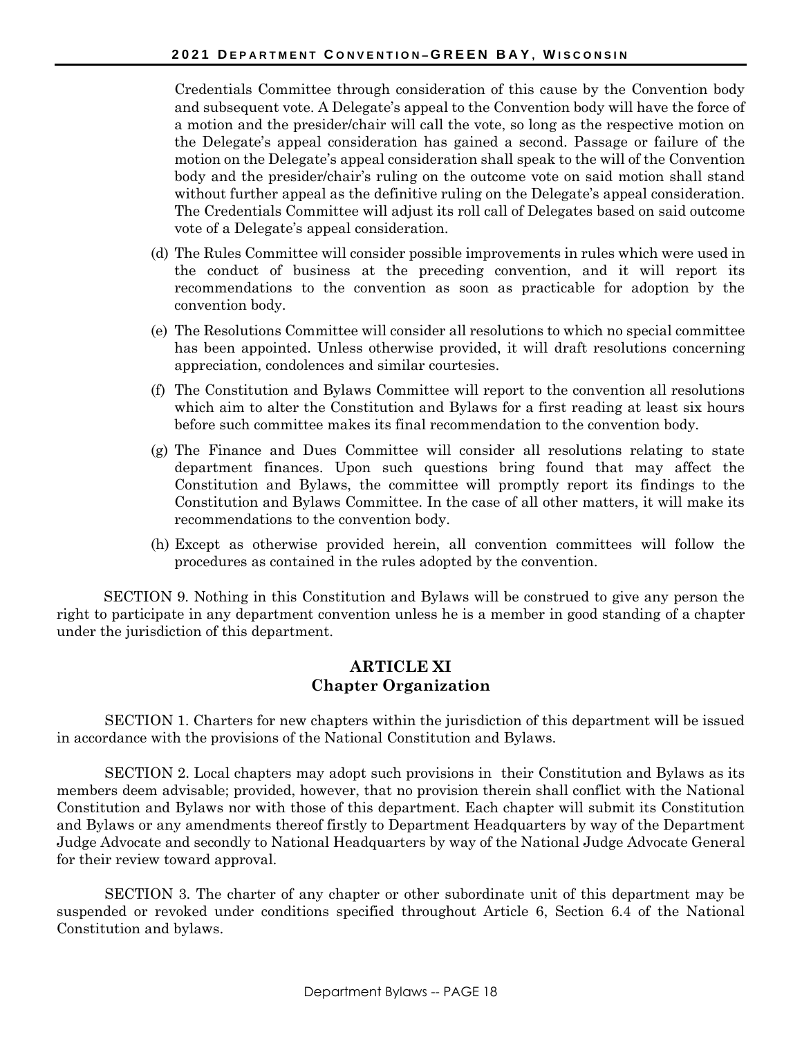Credentials Committee through consideration of this cause by the Convention body and subsequent vote. A Delegate's appeal to the Convention body will have the force of a motion and the presider/chair will call the vote, so long as the respective motion on the Delegate's appeal consideration has gained a second. Passage or failure of the motion on the Delegate's appeal consideration shall speak to the will of the Convention body and the presider/chair's ruling on the outcome vote on said motion shall stand without further appeal as the definitive ruling on the Delegate's appeal consideration. The Credentials Committee will adjust its roll call of Delegates based on said outcome vote of a Delegate's appeal consideration.

- (d) The Rules Committee will consider possible improvements in rules which were used in the conduct of business at the preceding convention, and it will report its recommendations to the convention as soon as practicable for adoption by the convention body.
- (e) The Resolutions Committee will consider all resolutions to which no special committee has been appointed. Unless otherwise provided, it will draft resolutions concerning appreciation, condolences and similar courtesies.
- (f) The Constitution and Bylaws Committee will report to the convention all resolutions which aim to alter the Constitution and Bylaws for a first reading at least six hours before such committee makes its final recommendation to the convention body.
- (g) The Finance and Dues Committee will consider all resolutions relating to state department finances. Upon such questions bring found that may affect the Constitution and Bylaws, the committee will promptly report its findings to the Constitution and Bylaws Committee. In the case of all other matters, it will make its recommendations to the convention body.
- (h) Except as otherwise provided herein, all convention committees will follow the procedures as contained in the rules adopted by the convention.

SECTION 9. Nothing in this Constitution and Bylaws will be construed to give any person the right to participate in any department convention unless he is a member in good standing of a chapter under the jurisdiction of this department.

### **ARTICLE XI Chapter Organization**

SECTION 1. Charters for new chapters within the jurisdiction of this department will be issued in accordance with the provisions of the National Constitution and Bylaws.

SECTION 2. Local chapters may adopt such provisions in their Constitution and Bylaws as its members deem advisable; provided, however, that no provision therein shall conflict with the National Constitution and Bylaws nor with those of this department. Each chapter will submit its Constitution and Bylaws or any amendments thereof firstly to Department Headquarters by way of the Department Judge Advocate and secondly to National Headquarters by way of the National Judge Advocate General for their review toward approval.

SECTION 3. The charter of any chapter or other subordinate unit of this department may be suspended or revoked under conditions specified throughout Article 6, Section 6.4 of the National Constitution and bylaws.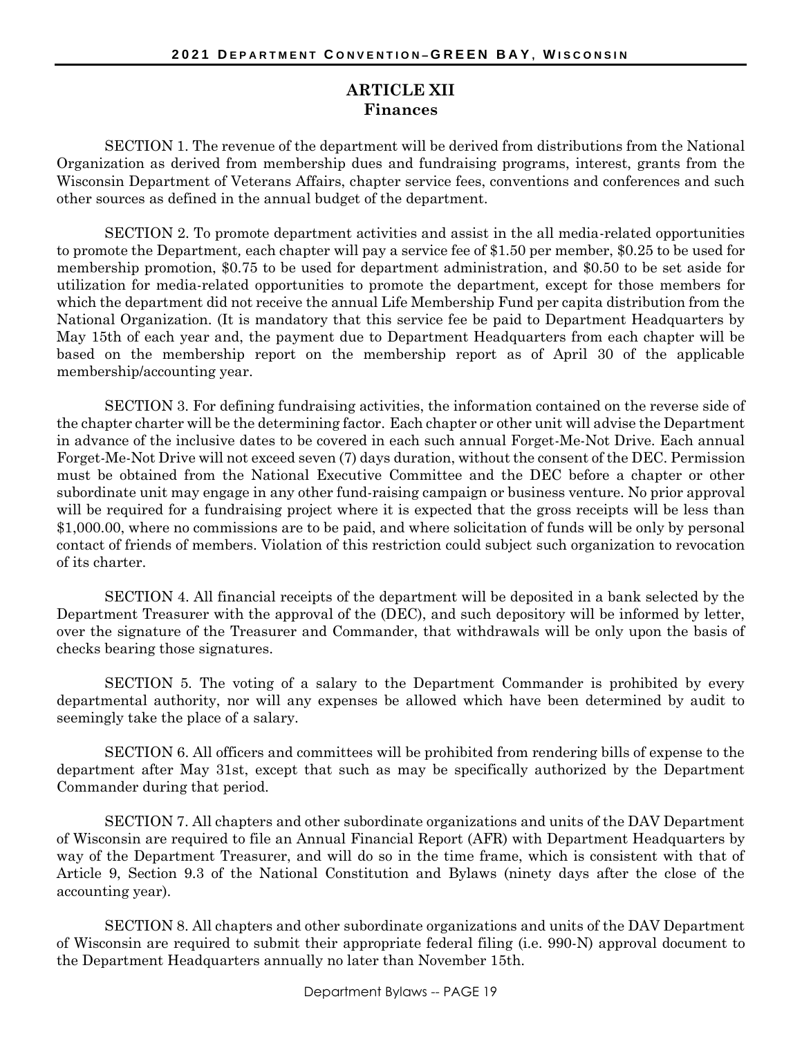### **ARTICLE XII Finances**

SECTION 1. The revenue of the department will be derived from distributions from the National Organization as derived from membership dues and fundraising programs, interest, grants from the Wisconsin Department of Veterans Affairs, chapter service fees, conventions and conferences and such other sources as defined in the annual budget of the department.

SECTION 2. To promote department activities and assist in the all media-related opportunities to promote the Department*,* each chapter will pay a service fee of \$1.50 per member, \$0.25 to be used for membership promotion, \$0.75 to be used for department administration, and \$0.50 to be set aside for utilization for media-related opportunities to promote the department*,* except for those members for which the department did not receive the annual Life Membership Fund per capita distribution from the National Organization. (It is mandatory that this service fee be paid to Department Headquarters by May 15th of each year and, the payment due to Department Headquarters from each chapter will be based on the membership report on the membership report as of April 30 of the applicable membership/accounting year.

SECTION 3. For defining fundraising activities, the information contained on the reverse side of the chapter charter will be the determining factor. Each chapter or other unit will advise the Department in advance of the inclusive dates to be covered in each such annual Forget-Me-Not Drive. Each annual Forget-Me-Not Drive will not exceed seven (7) days duration, without the consent of the DEC. Permission must be obtained from the National Executive Committee and the DEC before a chapter or other subordinate unit may engage in any other fund-raising campaign or business venture. No prior approval will be required for a fundraising project where it is expected that the gross receipts will be less than \$1,000.00, where no commissions are to be paid, and where solicitation of funds will be only by personal contact of friends of members. Violation of this restriction could subject such organization to revocation of its charter.

SECTION 4. All financial receipts of the department will be deposited in a bank selected by the Department Treasurer with the approval of the (DEC), and such depository will be informed by letter, over the signature of the Treasurer and Commander, that withdrawals will be only upon the basis of checks bearing those signatures.

SECTION 5. The voting of a salary to the Department Commander is prohibited by every departmental authority, nor will any expenses be allowed which have been determined by audit to seemingly take the place of a salary.

SECTION 6. All officers and committees will be prohibited from rendering bills of expense to the department after May 31st, except that such as may be specifically authorized by the Department Commander during that period.

SECTION 7. All chapters and other subordinate organizations and units of the DAV Department of Wisconsin are required to file an Annual Financial Report (AFR) with Department Headquarters by way of the Department Treasurer, and will do so in the time frame, which is consistent with that of Article 9, Section 9.3 of the National Constitution and Bylaws (ninety days after the close of the accounting year).

SECTION 8. All chapters and other subordinate organizations and units of the DAV Department of Wisconsin are required to submit their appropriate federal filing (i.e. 990-N) approval document to the Department Headquarters annually no later than November 15th.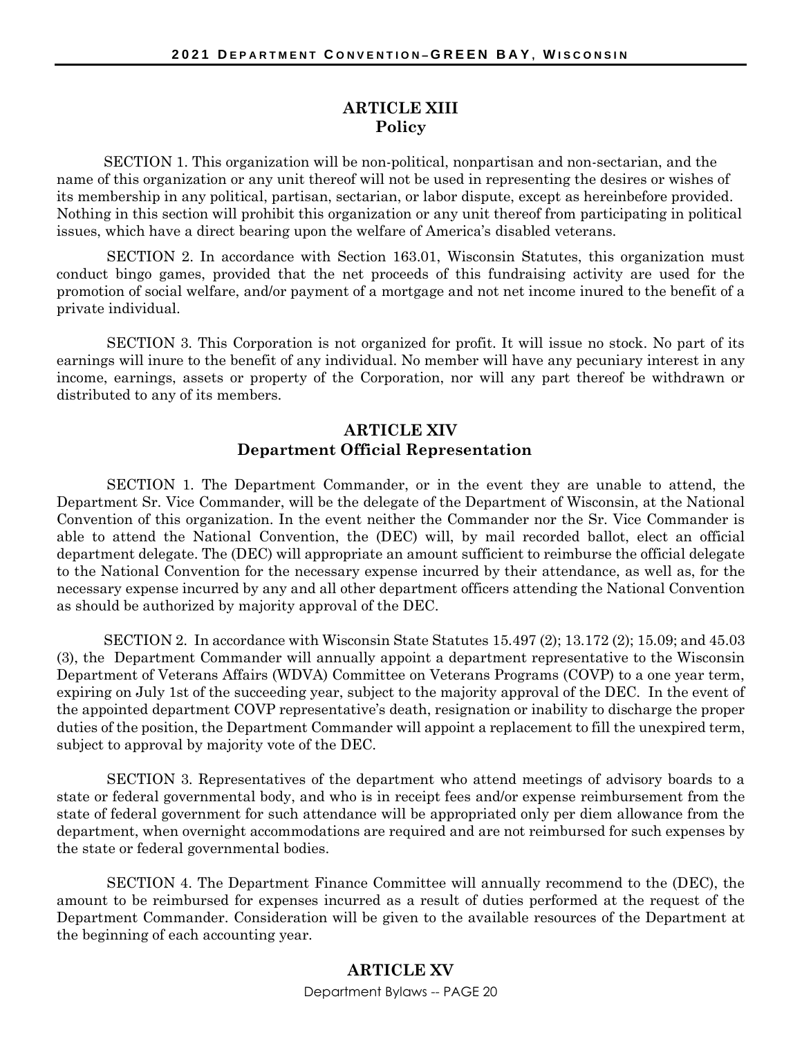### **ARTICLE XIII Policy**

SECTION 1. This organization will be non-political, nonpartisan and non-sectarian, and the name of this organization or any unit thereof will not be used in representing the desires or wishes of its membership in any political, partisan, sectarian, or labor dispute, except as hereinbefore provided. Nothing in this section will prohibit this organization or any unit thereof from participating in political issues, which have a direct bearing upon the welfare of America's disabled veterans.

SECTION 2. In accordance with Section 163.01, Wisconsin Statutes, this organization must conduct bingo games, provided that the net proceeds of this fundraising activity are used for the promotion of social welfare, and/or payment of a mortgage and not net income inured to the benefit of a private individual.

SECTION 3. This Corporation is not organized for profit. It will issue no stock. No part of its earnings will inure to the benefit of any individual. No member will have any pecuniary interest in any income, earnings, assets or property of the Corporation, nor will any part thereof be withdrawn or distributed to any of its members.

### **ARTICLE XIV Department Official Representation**

SECTION 1. The Department Commander, or in the event they are unable to attend, the Department Sr. Vice Commander, will be the delegate of the Department of Wisconsin, at the National Convention of this organization. In the event neither the Commander nor the Sr. Vice Commander is able to attend the National Convention, the (DEC) will, by mail recorded ballot, elect an official department delegate. The (DEC) will appropriate an amount sufficient to reimburse the official delegate to the National Convention for the necessary expense incurred by their attendance, as well as, for the necessary expense incurred by any and all other department officers attending the National Convention as should be authorized by majority approval of the DEC.

SECTION 2. In accordance with Wisconsin State Statutes 15.497 (2); 13.172 (2); 15.09; and 45.03 (3), the Department Commander will annually appoint a department representative to the Wisconsin Department of Veterans Affairs (WDVA) Committee on Veterans Programs (COVP) to a one year term, expiring on July 1st of the succeeding year, subject to the majority approval of the DEC. In the event of the appointed department COVP representative's death, resignation or inability to discharge the proper duties of the position, the Department Commander will appoint a replacement to fill the unexpired term, subject to approval by majority vote of the DEC.

SECTION 3. Representatives of the department who attend meetings of advisory boards to a state or federal governmental body, and who is in receipt fees and/or expense reimbursement from the state of federal government for such attendance will be appropriated only per diem allowance from the department, when overnight accommodations are required and are not reimbursed for such expenses by the state or federal governmental bodies.

SECTION 4. The Department Finance Committee will annually recommend to the (DEC), the amount to be reimbursed for expenses incurred as a result of duties performed at the request of the Department Commander. Consideration will be given to the available resources of the Department at the beginning of each accounting year.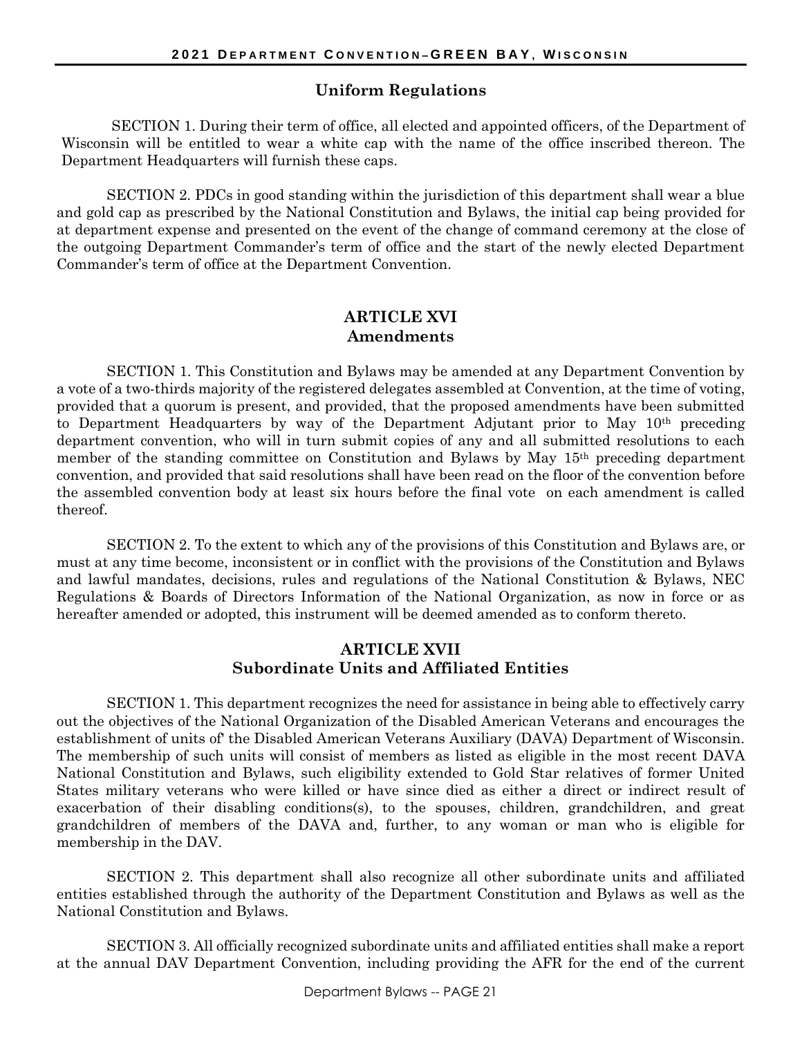#### **Uniform Regulations**

SECTION 1. During their term of office, all elected and appointed officers, of the Department of Wisconsin will be entitled to wear a white cap with the name of the office inscribed thereon. The Department Headquarters will furnish these caps.

SECTION 2. PDCs in good standing within the jurisdiction of this department shall wear a blue and gold cap as prescribed by the National Constitution and Bylaws, the initial cap being provided for at department expense and presented on the event of the change of command ceremony at the close of the outgoing Department Commander's term of office and the start of the newly elected Department Commander's term of office at the Department Convention.

#### **ARTICLE XVI Amendments**

SECTION 1. This Constitution and Bylaws may be amended at any Department Convention by a vote of a two-thirds majority of the registered delegates assembled at Convention, at the time of voting, provided that a quorum is present, and provided, that the proposed amendments have been submitted to Department Headquarters by way of the Department Adjutant prior to May 10<sup>th</sup> preceding department convention, who will in turn submit copies of any and all submitted resolutions to each member of the standing committee on Constitution and Bylaws by May 15th preceding department convention, and provided that said resolutions shall have been read on the floor of the convention before the assembled convention body at least six hours before the final vote on each amendment is called thereof.

SECTION 2. To the extent to which any of the provisions of this Constitution and Bylaws are, or must at any time become, inconsistent or in conflict with the provisions of the Constitution and Bylaws and lawful mandates, decisions, rules and regulations of the National Constitution & Bylaws, NEC Regulations & Boards of Directors Information of the National Organization, as now in force or as hereafter amended or adopted, this instrument will be deemed amended as to conform thereto.

### **ARTICLE XVII Subordinate Units and Affiliated Entities**

SECTION 1. This department recognizes the need for assistance in being able to effectively carry out the objectives of the National Organization of the Disabled American Veterans and encourages the establishment of units of' the Disabled American Veterans Auxiliary (DAVA) Department of Wisconsin. The membership of such units will consist of members as listed as eligible in the most recent DAVA National Constitution and Bylaws, such eligibility extended to Gold Star relatives of former United States military veterans who were killed or have since died as either a direct or indirect result of exacerbation of their disabling conditions(s), to the spouses, children, grandchildren, and great grandchildren of members of the DAVA and, further, to any woman or man who is eligible for membership in the DAV.

SECTION 2. This department shall also recognize all other subordinate units and affiliated entities established through the authority of the Department Constitution and Bylaws as well as the National Constitution and Bylaws.

SECTION 3. All officially recognized subordinate units and affiliated entities shall make a report at the annual DAV Department Convention, including providing the AFR for the end of the current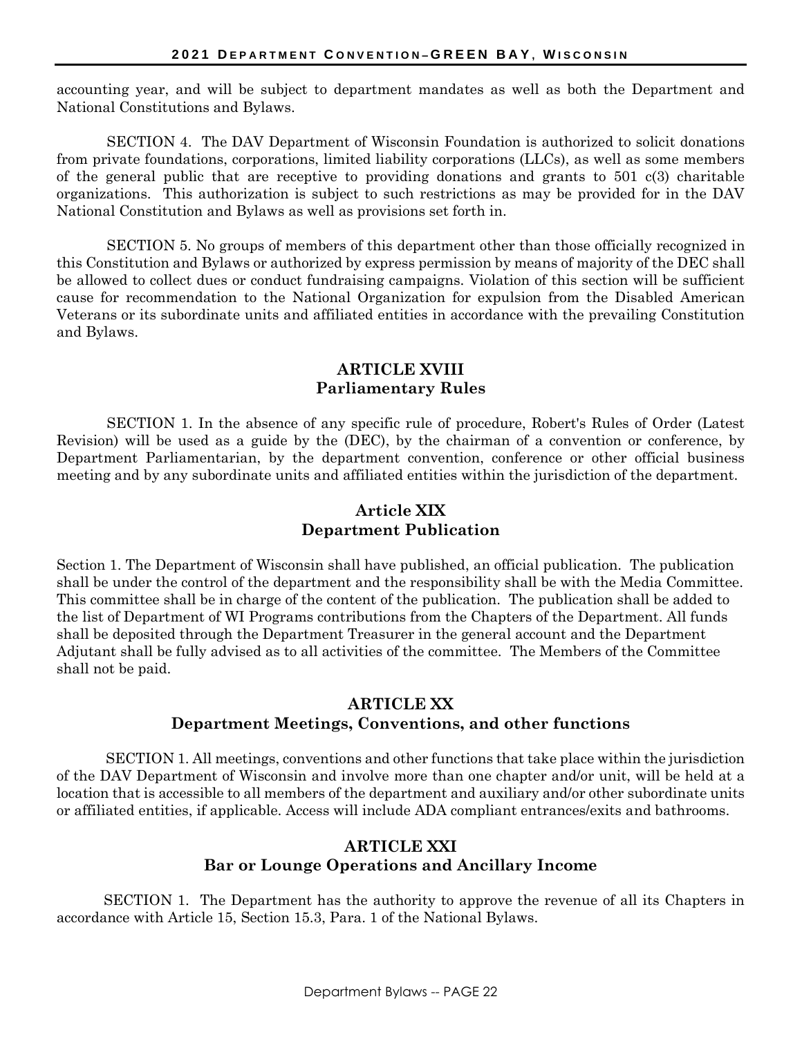accounting year, and will be subject to department mandates as well as both the Department and National Constitutions and Bylaws.

SECTION 4. The DAV Department of Wisconsin Foundation is authorized to solicit donations from private foundations, corporations, limited liability corporations (LLCs), as well as some members of the general public that are receptive to providing donations and grants to 501 c(3) charitable organizations. This authorization is subject to such restrictions as may be provided for in the DAV National Constitution and Bylaws as well as provisions set forth in.

SECTION 5. No groups of members of this department other than those officially recognized in this Constitution and Bylaws or authorized by express permission by means of majority of the DEC shall be allowed to collect dues or conduct fundraising campaigns. Violation of this section will be sufficient cause for recommendation to the National Organization for expulsion from the Disabled American Veterans or its subordinate units and affiliated entities in accordance with the prevailing Constitution and Bylaws.

### **ARTICLE XVIII Parliamentary Rules**

SECTION 1. In the absence of any specific rule of procedure, Robert's Rules of Order (Latest Revision) will be used as a guide by the (DEC), by the chairman of a convention or conference, by Department Parliamentarian, by the department convention, conference or other official business meeting and by any subordinate units and affiliated entities within the jurisdiction of the department.

## **Article XIX Department Publication**

Section 1. The Department of Wisconsin shall have published, an official publication. The publication shall be under the control of the department and the responsibility shall be with the Media Committee. This committee shall be in charge of the content of the publication. The publication shall be added to the list of Department of WI Programs contributions from the Chapters of the Department. All funds shall be deposited through the Department Treasurer in the general account and the Department Adjutant shall be fully advised as to all activities of the committee. The Members of the Committee shall not be paid.

## **ARTICLE XX Department Meetings, Conventions, and other functions**

SECTION 1. All meetings, conventions and other functions that take place within the jurisdiction of the DAV Department of Wisconsin and involve more than one chapter and/or unit, will be held at a location that is accessible to all members of the department and auxiliary and/or other subordinate units or affiliated entities, if applicable. Access will include ADA compliant entrances/exits and bathrooms.

## **ARTICLE XXI Bar or Lounge Operations and Ancillary Income**

SECTION 1. The Department has the authority to approve the revenue of all its Chapters in accordance with Article 15, Section 15.3, Para. 1 of the National Bylaws.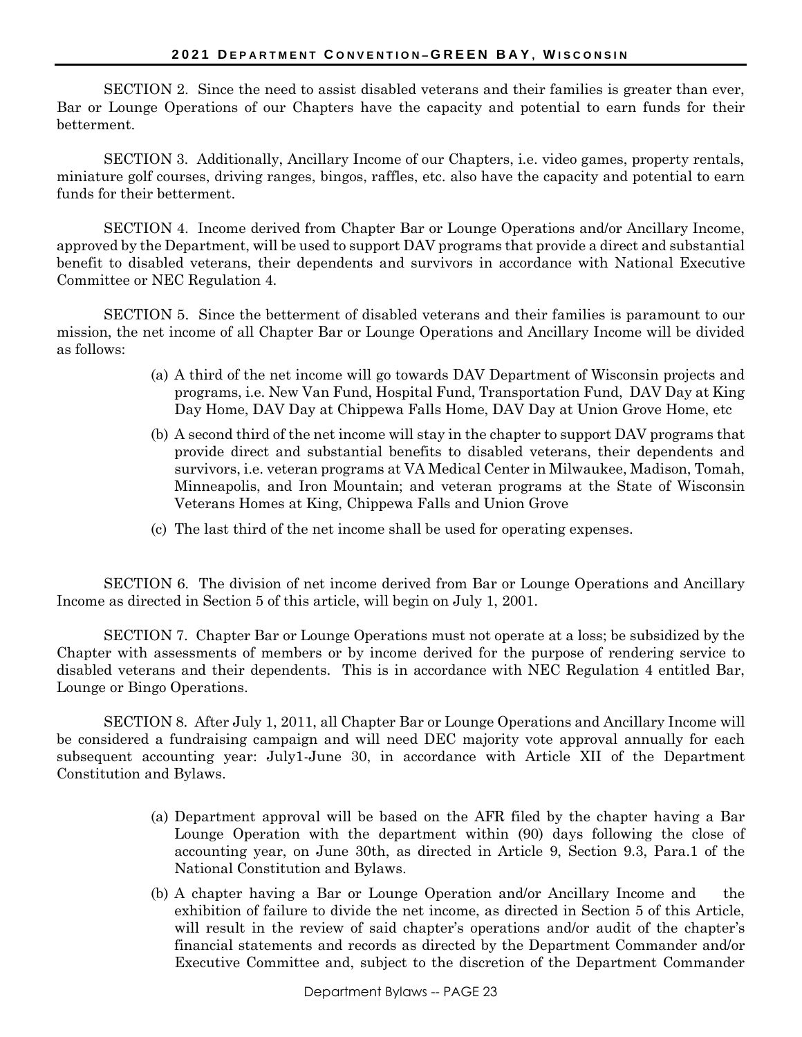SECTION 2. Since the need to assist disabled veterans and their families is greater than ever, Bar or Lounge Operations of our Chapters have the capacity and potential to earn funds for their betterment.

SECTION 3. Additionally, Ancillary Income of our Chapters, i.e. video games, property rentals, miniature golf courses, driving ranges, bingos, raffles, etc. also have the capacity and potential to earn funds for their betterment.

SECTION 4. Income derived from Chapter Bar or Lounge Operations and/or Ancillary Income, approved by the Department, will be used to support DAV programs that provide a direct and substantial benefit to disabled veterans, their dependents and survivors in accordance with National Executive Committee or NEC Regulation 4.

SECTION 5. Since the betterment of disabled veterans and their families is paramount to our mission, the net income of all Chapter Bar or Lounge Operations and Ancillary Income will be divided as follows:

- (a) A third of the net income will go towards DAV Department of Wisconsin projects and programs, i.e. New Van Fund, Hospital Fund, Transportation Fund, DAV Day at King Day Home, DAV Day at Chippewa Falls Home, DAV Day at Union Grove Home, etc
- (b) A second third of the net income will stay in the chapter to support DAV programs that provide direct and substantial benefits to disabled veterans, their dependents and survivors, i.e. veteran programs at VA Medical Center in Milwaukee, Madison, Tomah, Minneapolis, and Iron Mountain; and veteran programs at the State of Wisconsin Veterans Homes at King, Chippewa Falls and Union Grove
- (c) The last third of the net income shall be used for operating expenses.

SECTION 6. The division of net income derived from Bar or Lounge Operations and Ancillary Income as directed in Section 5 of this article, will begin on July 1, 2001.

SECTION 7. Chapter Bar or Lounge Operations must not operate at a loss; be subsidized by the Chapter with assessments of members or by income derived for the purpose of rendering service to disabled veterans and their dependents. This is in accordance with NEC Regulation 4 entitled Bar, Lounge or Bingo Operations.

SECTION 8. After July 1, 2011, all Chapter Bar or Lounge Operations and Ancillary Income will be considered a fundraising campaign and will need DEC majority vote approval annually for each subsequent accounting year: July1-June 30, in accordance with Article XII of the Department Constitution and Bylaws.

- (a) Department approval will be based on the AFR filed by the chapter having a Bar Lounge Operation with the department within (90) days following the close of accounting year, on June 30th, as directed in Article 9, Section 9.3, Para.1 of the National Constitution and Bylaws.
- (b) A chapter having a Bar or Lounge Operation and/or Ancillary Income and the exhibition of failure to divide the net income, as directed in Section 5 of this Article, will result in the review of said chapter's operations and/or audit of the chapter's financial statements and records as directed by the Department Commander and/or Executive Committee and, subject to the discretion of the Department Commander